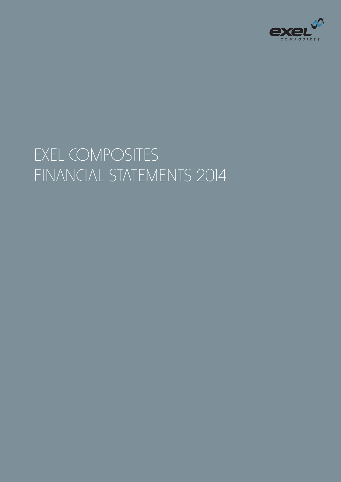

# EXEL COMPOSITES FINANCIAL STATEMENTS 2014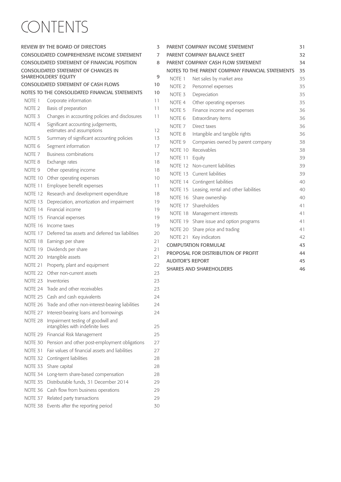# **CONTENTS**

|                    | REVIEW BY THE BOARD OF DIRECTORS                                        | 3  |
|--------------------|-------------------------------------------------------------------------|----|
|                    | CONSOLIDATED COMPREHENSIVE INCOME STATEMENT                             | 7  |
|                    | CONSOLIDATED STATEMENT OF FINANCIAL POSITION                            | 8  |
|                    | CONSOLIDATED STATEMENT OF CHANGES IN                                    |    |
|                    | SHAREHOLDERS' EQUITY                                                    | 9  |
|                    | CONSOLIDATED STATEMENT OF CASH FLOWS                                    | 10 |
|                    | NOTES TO THE CONSOLIDATED FINANCIAL STATEMENTS                          | 10 |
| NOTE <sub>1</sub>  | Corporate information                                                   | 11 |
| NOTE <sub>2</sub>  | Basis of preparation                                                    | 11 |
| NOTE <sub>3</sub>  | Changes in accounting policies and disclosures                          | 11 |
| NOTE <sub>4</sub>  | Significant accounting judgements,<br>estimates and assumptions         | 12 |
| NOTE <sub>5</sub>  | Summary of significant accounting policies                              | 13 |
| NOTE <sub>6</sub>  | Segment information                                                     | 17 |
| NOTE <sub>7</sub>  | <b>Business combinations</b>                                            | 17 |
| NOTE <sub>8</sub>  | Exchange rates                                                          | 18 |
| NOTE <sub>9</sub>  | Other operating income                                                  | 18 |
| NOTE 10            | Other operating expenses                                                | 10 |
| NOTE 11            | Employee benefit expenses                                               | 11 |
| NOTE 12            | Research and development expenditure                                    | 18 |
| NOTE 13            | Depreciation, amortization and impairment                               | 19 |
| NOTE 14            | Financial income                                                        | 19 |
| NOTE 15            | Financial expenses                                                      | 19 |
| NOTE 16            | Income taxes                                                            | 19 |
| NOTE 17            | Deferred tax assets and deferred tax liabilities                        | 20 |
| NOTE 18            | Earnings per share                                                      | 21 |
| NOTE 19            | Dividends per share                                                     | 21 |
| NOTE 20            | Intangible assets                                                       | 21 |
| NOTE 21            | Property, plant and equipment                                           | 22 |
| NOTE <sub>22</sub> | Other non-current assets                                                | 23 |
| NOTE <sub>23</sub> | Inventories                                                             | 23 |
| NOTF <sub>24</sub> | Trade and other receivables                                             | 23 |
| NOTE <sub>25</sub> | Cash and cash equivalents                                               | 24 |
| NOTE <sub>26</sub> | Trade and other non-interest-bearing liabilities                        | 24 |
| NOTE 27            | Interest-bearing loans and borrowings                                   | 24 |
| NOTE 28            | Impairment testing of goodwill and<br>intangibles with indefinite lives | 25 |
| NOTE 29            | Financial Risk Management                                               | 25 |
| NOTE 30            | Pension and other post-employment obligations                           | 27 |
| NOTE 31            | Fair values of financial assets and liabilities                         | 27 |
| NOTE <sub>32</sub> | Contingent liabilities                                                  | 28 |
| NOTE 33            | Share capital                                                           | 28 |
| NOTE 34            | Long-term share-based compensation                                      | 28 |
| NOTE 35            | Distributable funds, 31 December 2014                                   | 29 |
| NOTE 36            | Cash flow from business operations                                      | 29 |
| NOTE 37            | Related party transactions                                              | 29 |
| NOTE 38            | Events after the reporting period                                       | 30 |

| PARENT COMPANY INCOME STATEMENT<br>31 |                                                  |    |  |
|---------------------------------------|--------------------------------------------------|----|--|
| PARENT COMPANY BALANCE SHEET<br>32    |                                                  |    |  |
|                                       | PARENT COMPANY CASH FLOW STATEMENT               | 34 |  |
|                                       | NOTES TO THE PARENT COMPANY FINANCIAL STATEMENTS | 35 |  |
| NOTE <sub>1</sub>                     | Net sales by market area                         | 35 |  |
| NOTE <sub>2</sub>                     | Personnel expenses                               | 35 |  |
| NOTE <sub>3</sub>                     | Depreciation                                     | 35 |  |
| NOTE <sub>4</sub>                     | Other operating expenses                         | 35 |  |
| NOTE <sub>5</sub>                     | Finance income and expenses                      | 36 |  |
| NOTE <sub>6</sub>                     | Extraordinary items                              | 36 |  |
| NOTE <sub>7</sub>                     | Direct taxes                                     | 36 |  |
| NOTE 8                                | Intangible and tangible rights                   | 36 |  |
| NOTE <sub>9</sub>                     | Companies owned by parent company                | 38 |  |
| NOTE 10                               | Receivables                                      | 38 |  |
| NOTE 11                               | Equity                                           | 39 |  |
| NOTE 12                               | Non-current liabilities                          | 39 |  |
|                                       | NOTE 13 Current liabilities                      | 39 |  |
|                                       | NOTE 14 Contingent liabilities                   | 40 |  |
| NOTE 15                               | Leasing, rental and other liabilities            | 40 |  |
| NOTE 16                               | Share ownership                                  | 40 |  |
|                                       | NOTE 17 Shareholders                             | 41 |  |
| NOTE 18                               | Management interests                             | 41 |  |
| NOTE 19                               | Share issue and option programs                  | 41 |  |
|                                       | NOTE 20 Share price and trading                  | 41 |  |
| NOTE 21                               | Key indicators                                   | 42 |  |
|                                       | <b>COMPUTATION FORMULAE</b>                      | 43 |  |
|                                       | PROPOSAL FOR DISTRIBUTION OF PROFIT              | 44 |  |
| <b>AUDITOR'S REPORT</b><br>45         |                                                  |    |  |
|                                       | <b>SHARES AND SHAREHOLDERS</b><br>46             |    |  |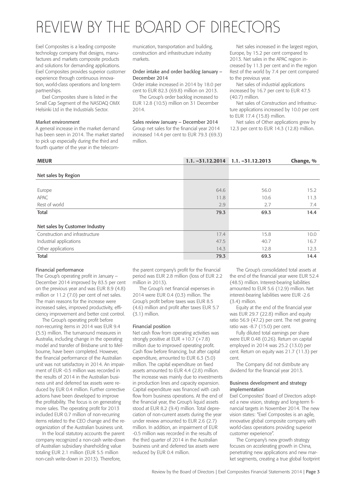## REVIEW BY THE BOARD OF DIRECTORS

Exel Composites is a leading composite technology company that designs, manufactures and markets composite products and solutions for demanding applications. Exel Composites provides superior customer experience through continuous innovation, world-class operations and long-term partnerships.

Exel Composites share is listed in the Small Cap Segment of the NASDAQ OMX Helsinki Ltd in the Industrials Sector.

### Market environment

A general increase in the market demand has been seen in 2014. The market started to pick up especially during the third and fourth quarter of the year in the telecommunication, transportation and building, construction and infrastructure industry markets.

#### Order intake and order backlog January – December 2014

Order intake increased in 2014 by 18.0 per cent to EUR 82.3 (69.8) million on 2013.

The Group's order backlog increased to EUR 12.8 (10.5) million on 31 December 2014.

Sales review January – December 2014 Group net sales for the financial year 2014 increased 14.4 per cent to EUR 79.3 (69.3) million.

Net sales increased in the largest region, Europe, by 15.2 per cent compared to 2013. Net sales in the APAC region increased by 11.3 per cent and in the region Rest of the world by 7.4 per cent compared to the previous year.

Net sales of industrial applications increased by 16.7 per cent to EUR 47.5 (40.7) million.

Net sales of Construction and Infrastructure applications increased by 10.0 per cent to EUR 17.4 (15.8) million.

Net sales of Other applications grew by 12.3 per cent to EUR 14.3 (12.8) million.

| <b>MEUR</b>                     | $1.1. -31.12.2014$ | $1.1. -31.12.2013$ | Change, % |
|---------------------------------|--------------------|--------------------|-----------|
| Net sales by Region             |                    |                    |           |
|                                 |                    |                    |           |
| Europe                          | 64.6               | 56.0               | 15.2      |
| APAC                            | 11.8               | 10.6               | 11.3      |
| Rest of world                   | 2.9                | 2.7                | 7.4       |
| Total                           | 79.3               | 69.3               | 14.4      |
|                                 |                    |                    |           |
| Net sales by Customer Industry  |                    |                    |           |
| Construction and infrastructure | 17.4               | 15.8               | 10.0      |
| Industrial applications         | 47.5               | 40.7               | 16.7      |
| Other applications              | 14.3               | 12.8               | 12.3      |
| Total                           | 79.3               | 69.3               | 14.4      |

### Financial performance

The Group's operating profit in January – December 2014 improved by 83.5 per cent on the previous year and was EUR 8.9 (4.8) million or 11.2 (7.0) per cent of net sales. The main reasons for the increase were increased sales, improved productivity, efficiency improvement and better cost control.

The Group's operating profit before non-recurring items in 2014 was EUR 9.4 (5.5) million. The turnaround measures in Australia, including change in the operating model and transfer of Brisbane unit to Melbourne, have been completed. However, the financial performance of the Australian unit was not satisfactory in 2014. An impairment of EUR -0.5 million was recorded in the results of 2014 in the Australian business unit and deferred tax assets were reduced by EUR 0.4 million. Further corrective actions have been developed to improve the profitability. The focus is on generating more sales. The operating profit for 2013 included EUR 0.7 million of non-recurring items related to the CEO change and the reorganization of the Australian business unit.

In the local statutory accounts the parent company recognized a non-cash write-down of Australian subsidiary shareholding value totaling EUR 2.1 million (EUR 5.5 million non-cash write-down in 2013). Therefore,

the parent company's profit for the financial period was EUR 2.8 million (loss of EUR 2.2 million in 2013).

The Group's net financial expenses in 2014 were EUR 0.4 (0.3) million. The Group's profit before taxes was EUR 8.5 (4.6) million and profit after taxes EUR 5.7 (3.1) million.

### Financial position

Net cash flow from operating activities was strongly positive at EUR +10.7 (+7.8) million due to improved operating profit. Cash flow before financing, but after capital expenditure, amounted to EUR 6.3 (5.0) million. The capital expenditure on fixed assets amounted to EUR 4.4 (2.8) million. The increase was mainly due to investments in production lines and capacity expansion. Capital expenditure was financed with cash flow from business operations. At the end of the financial year, the Group's liquid assets stood at EUR 8.2 (9.4) million. Total depreciation of non-current assets during the year under review amounted to EUR 2.6 (2.7) million. In addition, an impairment of EUR -0.5 million was recorded in the results of the third quarter of 2014 in the Australian business unit and deferred tax assets were reduced by EUR 0.4 million.

The Group's consolidated total assets at the end of the financial year were EUR 52.4 (48.5) million. Interest-bearing liabilities amounted to EUR 5.6 (12.9) million. Net interest-bearing liabilities were EUR -2.6 (3.4) million.

Equity at the end of the financial year was EUR 29.7 (22.8) million and equity ratio 56.9 (47.2) per cent. The net gearing ratio was -8.7 (15.0) per cent.

Fully diluted total earnings per share were EUR 0.48 (0.26). Return on capital employed in 2014 was 25.2 (13.0) per cent. Return on equity was 21.7 (11.3) per cent.

The Company did not distribute any dividend for the financial year 2013.

### Business development and strategy implementation

Exel Composites' Board of Directors adopted a new vision, strategy and long-term financial targets in November 2014. The new vision states: "Exel Composites is an agile, innovative global composite company with world-class operations providing superior customer experience".

The Company's new growth strategy focuses on accelerating growth in China, penetrating new applications and new market segments, creating a true global footprint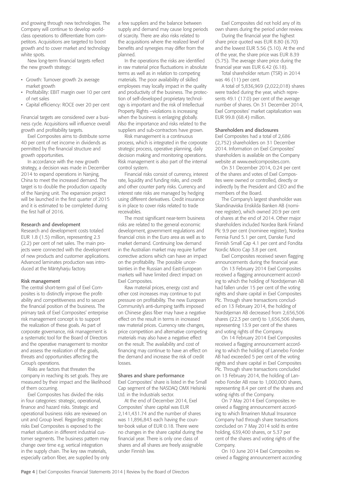and growing through new technologies. The Company will continue to develop worldclass operations to differentiate from competitors. Acquisitions are targeted to boost growth and to cover market and technology white spots.

New long-term financial targets reflect the new growth strategy:

- Growth: Turnover growth 2x average market growth
- Profitability: EBIT margin over 10 per cent of net sales
- Capital efficiency: ROCE over 20 per cent

Financial targets are considered over a business cycle. Acquisitions will influence overall growth and profitability targets.

Exel Composites aims to distribute some 40 per cent of net income in dividends as permitted by the financial structure and growth opportunities.

In accordance with the new growth strategy, a decision was made in December 2014 to expand operations in Nanjing, China to meet the increased demand. The target is to double the production capacity of the Nanjing unit. The expansion project will be launched in the first quarter of 2015 and it is estimated to be completed during the first half of 2016.

#### Research and development

Research and development costs totaled EUR 1.8 (1.5) million, representing 2.3 (2.2) per cent of net sales. The main projects were connected with the development of new products and customer applications. Advanced laminates production was introduced at the Mäntyharju factory.

### Risk management

The central short-term goal of Exel Composites is to distinctly improve the profitability and competitiveness and to secure the financial position of the business. The primary task of Exel Composites' enterprise risk management concept is to support the realization of these goals. As part of corporate governance, risk management is a systematic tool for the Board of Directors and the operative management to monitor and assess the realization of the goals, threats and opportunities affecting the Group's operations.

Risks are factors that threaten the company in reaching its set goals. They are measured by their impact and the likelihood of them occurring.

Exel Composites has divided the risks in four categories: strategic, operational, finance and hazard risks. Strategic and operational business risks are reviewed on unit and Group level. Regarding strategic risks Exel Composites is exposed to the market situation in different industrial customer segments. The business pattern may change over time e.g. vertical integration in the supply chain. The key raw materials, especially carbon fiber, are supplied by only a few suppliers and the balance between supply and demand may cause long periods of scarcity. There are also risks related to the acquisitions where the realized level of benefits and synergies may differ from the planned.

In the operations the risks are identified in raw material price fluctuations in absolute terms as well as in relation to competing materials. The poor availability of skilled employees may locally impact in the quality and productivity of the business. The protection of self-developed proprietary technology is important and the risk of Intellectual Property Rights –violations is increasing when the business is enlarging globally. Also the importance and risks related to the suppliers and sub-contractors have grown.

Risk management is a continuous process, which is integrated in the corporate strategic process, operative planning, daily decision making and monitoring operations. Risk management is also part of the internal control system.

Financial risks consist of currency, interest rate, liquidity and funding risks, and credit and other counter party risks. Currency and interest rate risks are managed by hedging using different derivatives. Credit insurance is in place to cover risks related to trade receivables.

The most significant near-term business risks are related to the general economic development, government regulations and financial crisis in the Euro area as well as to market demand. Continuing low demand in the Australian market may require further corrective actions which can have an impact on the profitability. The possible uncertainties in the Russian and East-European markets will have limited direct impact on Exel Composites.

Raw material prices, energy cost and other cost increases may continue to put pressure on profitability. The new European Community's anti-dumping tariffs imposed on Chinese glass fiber may have a negative effect on the result in terms in increased raw material prices. Currency rate changes, price competition and alternative competing materials may also have a negative effect on the result. The availability and cost of financing may continue to have an effect on the demand and increase the risk of credit losses.

#### Shares and share performance

Exel Composites' share is listed in the Small Cap segment of the NASDAQ OMX Helsinki Ltd. in the Industrials sector.

At the end of December 2014, Exel Composites' share capital was EUR 2,141,431.74 and the number of shares was 11,896,843 each having the counter-book value of EUR 0.18. There were no changes in the share capital during the financial year. There is only one class of shares and all shares are freely assignable under Finnish law.

Exel Composites did not hold any of its own shares during the period under review.

During the financial year the highest share price quoted was EUR 8.80 (6.70) and the lowest EUR 5.56 (5.10). At the end of the year, the share price was EUR 8.39 (5.75). The average share price during the financial year was EUR 6.42 (6.18).

Total shareholder return (TSR) in 2014 was 46 (11) per cent.

A total of 5,836,969 (2,022,018) shares were traded during the year, which represents 49.1 (17.0) per cent of the average number of shares. On 31 December 2014, Exel Composites' market capitalization was EUR 99.8 (68.4) million.

#### Shareholders and disclosures

Exel Composites had a total of 2,686 (2,752) shareholders on 31 December 2014. Information on Exel Composites' shareholders is available on the Company website at www.exelcomposites.com.

On 31 December 2014, 0.24 per cent of the shares and votes of Exel Composites were owned or controlled, directly or indirectly by the President and CEO and the members of the Board.

The Company's largest shareholder was Skandinaviska Enskilda Banken AB (nominee register), which owned 20.9 per cent of shares at the end of 2014. Other major shareholders included Nordea Bank Finland Plc 9.9 per cent (nominee register), Nordea Fennia Fund 5.1 per cent, Danske Fund Finnish Small Cap 4.1 per cent and Fondita Nordic Micro Cap 3.8 per cent.

Exel Composites received seven flagging announcements during the financial year.

On 13 February 2014 Exel Composites received a flagging announcement according to which the holding of Nordstjernan AB had fallen under 15 per cent of the voting rights and share capital in Exel Composites Plc. Through share transactions concluded on 13 February 2014, the holding of Nordstjernan AB decreased from 2,656,506 shares (22.3 per cent) to 1,656,506 shares, representing 13.9 per cent of the shares and voting rights of the Company.

On 14 February 2014 Exel Composites received a flagging announcement according to which the holding of Lannebo Fonder AB had exceeded 5 per cent of the voting rights and share capital in Exel Composites Plc. Through share transactions concluded on 13 February 2014, the holding of Lannebo Fonder AB rose to 1,000,000 shares, representing 8.4 per cent of the shares and voting rights of the Company.

On 7 May 2014 Exel Composites received a flagging announcement according to which llmarinen Mutual Insurance Company had through share transactions concluded on 7 May 2014 sold its entire holding, 639,400 shares, or 5.37 per cent of the shares and voting rights of the Company.

On 10 June 2014 Exel Composites received a flagging announcement according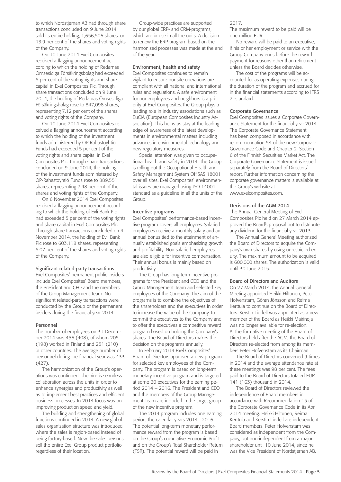to which Nordstjernan AB had through share transactions concluded on 9 June 2014 sold its entire holding, 1,656,506 shares, or 13.9 per cent of the shares and voting rights of the Company.

On 10 June 2014 Exel Composites received a flagging announcement according to which the holding of Redarnas Ömsesidiga Försäkringsbolag had exceeded 5 per cent of the voting rights and share capital in Exel Composites Plc. Through share transactions concluded on 9 June 2014, the holding of Redarnas Ömsesidiga Försäkringsbolag rose to 847,098 shares, representing 7.12 per cent of the shares and voting rights of the Company.

On 10 June 2014 Exel Composites received a flagging announcement according to which the holding of the investment funds administered by OP-Rahastoyhtiö Funds had exceeded 5 per cent of the voting rights and share capital in Exel Composites Plc. Through share transactions concluded on 9 June 2014, the holding of the investment funds administered by OP-Rahastoyhtiö Funds rose to 889,551 shares, representing 7.48 per cent of the shares and voting rights of the Company.

On 6 November 2014 Exel Composites received a flagging announcement according to which the holding of Evli Bank Plc had exceeded 5 per cent of the voting rights and share capital in Exel Composites Plc. Through share transactions concluded on 4 November 2014, the holding of Evli Bank Plc rose to 603,118 shares, representing 5.07 per cent of the shares and voting rights of the Company.

#### Significant related-party transactions

Exel Composites' permanent public insiders include Exel Composites' Board members, the President and CEO and the members of the Group Management Team. No significant related-party transactions were conducted by the Group or the permanent insiders during the financial year 2014.

#### Personnel

The number of employees on 31 December 2014 was 456 (408), of whom 205 (198) worked in Finland and 251 (210) in other countries. The average number of personnel during the financial year was 433 (427).

The harmonization of the Group's operations was continued. The aim is seamless collaboration across the units in order to enhance synergies and productivity as well as to implement best practices and efficient business processes. In 2014 focus was on improving production speed and yield.

The building and strengthening of global functions continued in 2014. A new global sales organization structure was introduced where the sales is region-based instead of being factory-based. Now the sales persons sell the entire Exel Group product portfolio regardless of their location.

Group-wide practices are supported by our global ERP- and CRM-programs, which are in use in all the units. A decision to renew the ERP-program based on the harmonized processes was made at the end of the year.

#### Environment, health and safety

Exel Composites continues to remain vigilant to ensure our site operations are compliant with all national and international rules and regulations. A safe environment for our employees and neighbors is a priority at Exel Composites.The Group plays a leading role in industry associations such as EuCIA (European Composites Industry Association). This helps us stay at the leading edge of awareness of the latest developments in environmental matters including advances in environmental technology and new regulatory measures.

Special attention was given to occupational health and safety in 2014. The Group is rolling out the Occupational Health and Safety Management System OHSAS 18001 over all sites. Exel Composites' environmental issues are managed using ISO 14001 standard as a guideline in all the units of the Group.

#### Incentive programs

Exel Composites' performance-based incentive program covers all employees. Salaried employees receive a monthly salary and an annual bonus tied to the attainment of annually established goals emphasizing growth and profitability. Non-salaried employees are also eligible for incentive compensation. Their annual bonus is mainly based on productivity.

The Group has long-term incentive programs for the President and CEO and the Group Management Team and selected key employees of the Company. The aim of the programs is to combine the objectives of the shareholders and the executives in order to increase the value of the Company, to commit the executives to the Company and to offer the executives a competitive reward program based on holding the Company's shares. The Board of Directors makes the decision on the programs annually.

In February 2014 Exel Composites' Board of Directors approved a new program for selected key employees of the Company. The program is based on long-term monetary incentive program and is targeted at some 20 executives for the earning period 2014 – 2016. The President and CEO and the members of the Group Management Team are included in the target group of the new incentive program.

The 2014 program includes one earning period, the calendar years 2014 –2016. The potential long-term monetary performance reward from the program is based on the Group's cumulative Economic Profit and on the Group's Total Shareholder Return (TSR). The potential reward will be paid in

2017.

The maximum reward to be paid will be one million EUR.

No reward will be paid to an executive, if his or her employment or service with the Group Company ends before the reward payment for reasons other than retirement unless the Board decides otherwise.

The cost of the programs will be accounted for as operating expenses during the duration of the program and accrued for in the financial statements according to IFRS 2 -standard.

#### Corporate Governance

Exel Composites issues a Corporate Governance Statement for the financial year 2014. The Corporate Governance Statement has been composed in accordance with recommendation 54 of the new Corporate Governance Code and Chapter 2, Section 6 of the Finnish Securities Market Act. The Corporate Governance Statement is issued separately from the Board of Directors' report. Further information concerning the corporate governance matters is available at the Group's website at www.exelcomposites.com.

#### Decisions of the AGM 2014

The Annual General Meeting of Exel Composites Plc held on 27 March 2014 approved the Board's proposal not to distribute any dividend for the financial year 2013.

The Annual General Meeting authorized the Board of Directors to acquire the Company's own shares by using unrestricted equity. The maximum amount to be acquired is 600,000 shares. The authorization is valid until 30 June 2015.

#### Board of Directors and Auditors

On 27 March 2014, the Annual General Meeting appointed Heikki Hiltunen, Peter Hofvenstam, Göran Jönsson and Reima Kerttula to continue on the Board of Directors. Kerstin Lindell was appointed as a new member of the Board as Heikki Mairinoja was no longer available for re-election. At the formative meeting of the Board of Directors held after the AGM, the Board of Directors re-elected from among its members Peter Hofvenstam as its Chairman.

The Board of Directors convened 9 times in 2014 and the average attendance rate at these meetings was 98 per cent. The fees paid to the Board of Directors totaled EUR 141 (163) thousand in 2014.

The Board of Directors reviewed the independence of Board members in accordance with Recommendation 15 of the Corporate Governance Code in its April 2014 meeting. Heikki Hiltunen, Reima Kerttula and Kerstin Lindell are independent Board members. Peter Hofvenstam was considered as independent from the Company, but non-independent from a major shareholder until 10 June 2014, since he was the Vice President of Nordstjernan AB.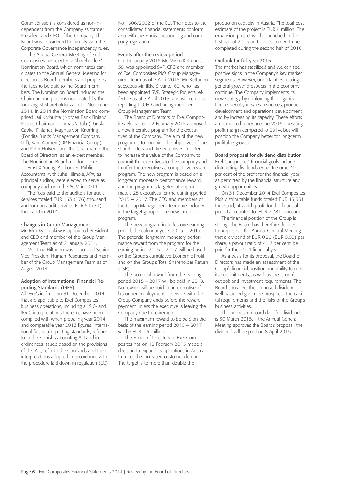Göran Jönsson is considered as non-independent from the Company as former President and CEO of the Company. The Board was considered to comply with the Corporate Governance independency rules.

The Annual General Meeting of Exel Composites has elected a Shareholders' Nomination Board, which nominates candidates to the Annual General Meeting for election as Board members and proposes the fees to be paid to the Board members. The Nomination Board included the Chairman and persons nominated by the four largest shareholders as of 1 November 2014. In 2014 the Nomination Board comprised Jari Kivihuhta (Nordea Bank Finland Plc) as Chairman, Tuomas Virtala (Danske Capital Finland), Magnus von Knorring (Fondita Funds Management Company Ltd), Karri Alameri (OP Financial Group), and Peter Hofvenstam, the Chairman of the Board of Directors, as an expert member. The Nomination Board met four times.

Ernst & Young, Authorized Public Accountants, with Juha Hilmola, APA, as principal auditor, were elected to serve as company auditor in the AGM in 2014.

The fees paid to the auditors for audit services totaled EUR 163 (176) thousand and for non-audit services EUR 51 (71) thousand in 2014.

#### Changes in Group Management

Mr. Riku Kytömäki was appointed President and CEO and member of the Group Management Team as of 2 January 2014.

Ms. Tiina Hiltunen was appointed Senior Vice President Human Resources and member of the Group Management Team as of 1 August 2014.

### Adoption of International Financial Reporting Standards (IRFS)

All IFRS's in force on 31 December 2014 that are applicable to Exel Composites' business operations, including all SIC- and IFRIC-interpretations thereon, have been complied with when preparing year 2014 and comparable year 2013 figures. International financial reporting standards, referred to in the Finnish Accounting Act and in ordinances issued based on the provisions of this Act, refer to the standards and their interpretations adopted in accordance with the procedure laid down in regulation (EC)

No 1606/2002 of the EU. The notes to the consolidated financial statements conform also with the Finnish accounting and company legislation.

#### Events after the review period

On 13 January 2015 Mr. Mikko Kettunen, 38, was appointed SVP, CFO and member of Exel Composites Plc's Group Management Team as of 7 April 2015. Mr. Kettunen succeeds Mr. Ilkka Silvanto, 63, who has been appointed SVP, Strategic Projects, effective as of 7 April 2015, and will continue reporting to CEO and being member of Group Management Team.

The Board of Directors of Exel Composites Plc has on 12 February 2015 approved a new incentive program for the executives of the Company. The aim of the new program is to combine the objectives of the shareholders and the executives in order to increase the value of the Company, to commit the executives to the Company and to offer the executives a competitive reward program. The new program is based on a long-term monetary performance reward, and the program is targeted at approximately 25 executives for the earning period 2015 − 2017. The CEO and members of the Group Management Team are included in the target group of the new incentive program.

The new program includes one earning period, the calendar years 2015 − 2017. The potential long-term monetary performance reward from the program for the earning period 2015 – 2017 will be based on the Group's cumulative Economic Profit and on the Group's Total Shareholder Return (TSR).

The potential reward from the earning period 2015 – 2017 will be paid in 2018. No reward will be paid to an executive, if his or her employment or service with the Group Company ends before the reward payment unless the executive is leaving the Company due to retirement.

The maximum reward to be paid on the basis of the earning period 2015 – 2017 will be EUR 1.5 million.

The Board of Directors of Exel Composites has on 12 February 2015 made a decision to expand its operations in Austria to meet the increased customer demand. The target is to more than double the

production capacity in Austria. The total cost estimate of the project is EUR 8 million. The expansion project will be launched in the first half of 2015 and it is estimated to be completed during the second half of 2016.

#### Outlook for full year 2015

The market has stabilized and we can see positive signs in the Company's key market segments. However, uncertainties relating to general growth prospects in the economy continue. The Company implements its new strategy by reinforcing the organization, especially in sales resources, product development and operations development, and by increasing its capacity. These efforts are expected to reduce the 2015 operating profit margin compared to 2014, but will position the Company better for long-term profitable growth.

#### Board proposal for dividend distribution

Exel Composites' financial goals include distributing dividends equal to some 40 per cent of the profit for the financial year as permitted by the financial structure and growth opportunities.

On 31 December 2014 Exel Composites Plc's distributable funds totaled EUR 13,551 thousand, of which profit for the financial period accounted for EUR 2,781 thousand.

The financial position of the Group is strong. The Board has therefore decided to propose to the Annual General Meeting that a dividend of EUR 0.20 (EUR 0.00) per share, a payout ratio of 41.7 per cent, be paid for the 2014 financial year.

As a basis for its proposal, the Board of Directors has made an assessment of the Group's financial position and ability to meet its commitments, as well as the Group's outlook and investment requirements. The Board considers the proposed dividend well-balanced given the prospects, the capital requirements and the risks of the Group's business activities.

The proposed record date for dividends is 30 March 2015. If the Annual General Meeting approves the Board's proposal, the dividend will be paid on 8 April 2015.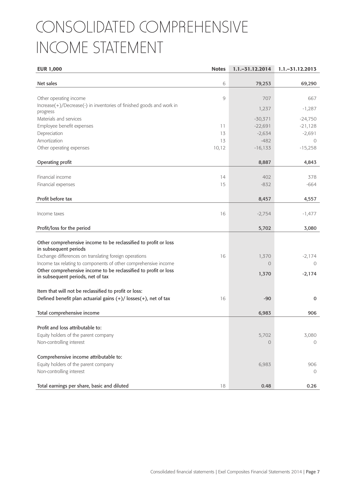## CONSOLIDATED COMPREHENSIVE INCOME STATEMENT

| <b>EUR 1,000</b>                                                                         | <b>Notes</b> | 1.1. - 31.12.2014 | $1.1 - 31.12.2013$ |
|------------------------------------------------------------------------------------------|--------------|-------------------|--------------------|
| Net sales                                                                                | 6            | 79,253            | 69,290             |
|                                                                                          |              |                   |                    |
| Other operating income                                                                   | 9            | 707               | 667                |
| Increase(+)/Decrease(-) in inventories of finished goods and work in                     |              | 1,237             | $-1,287$           |
| progress<br>Materials and services                                                       |              | $-30,371$         | $-24,750$          |
| Employee benefit expenses                                                                | 11           | $-22,691$         | $-21,128$          |
| Depreciation                                                                             | 13           | $-2,634$          | $-2,691$           |
| Amortization                                                                             | 13           | $-482$            | 0                  |
| Other operating expenses                                                                 | 10, 12       | $-16, 133$        | $-15,258$          |
| Operating profit                                                                         |              | 8,887             | 4,843              |
| Financial income                                                                         | 14           | 402               | 378                |
| Financial expenses                                                                       | 15           | $-832$            | $-664$             |
|                                                                                          |              |                   |                    |
| Profit before tax                                                                        |              | 8,457             | 4,557              |
|                                                                                          |              |                   |                    |
| Income taxes                                                                             | 16           | $-2,754$          | $-1,477$           |
| Profit/loss for the period                                                               |              | 5,702             | 3,080              |
| Other comprehensive income to be reclassified to profit or loss<br>in subsequent periods |              |                   |                    |
| Exchange differences on translating foreign operations                                   | 16           | 1,370             | $-2,174$           |
| Income tax relating to components of other comprehensive income                          |              | $\circ$           | $\circ$            |
| Other comprehensive income to be reclassified to profit or loss                          |              | 1,370             | $-2,174$           |
| in subsequent periods, net of tax                                                        |              |                   |                    |
| Item that will not be reclassified to profit or loss:                                    |              |                   |                    |
| Defined benefit plan actuarial gains $(+)/$ losses $(+)$ , net of tax                    | 16           | $-90$             | 0                  |
| Total comprehensive income                                                               |              | 6,983             | 906                |
| Profit and loss attributable to:                                                         |              |                   |                    |
| Equity holders of the parent company                                                     |              | 5,702             | 3,080              |
| Non-controlling interest                                                                 |              | 0                 | 0                  |
|                                                                                          |              |                   |                    |
| Comprehensive income attributable to:                                                    |              |                   |                    |
| Equity holders of the parent company                                                     |              | 6,983             | 906                |
| Non-controlling interest                                                                 |              |                   | 0                  |
| Total earnings per share, basic and diluted                                              | 18           | 0.48              | 0.26               |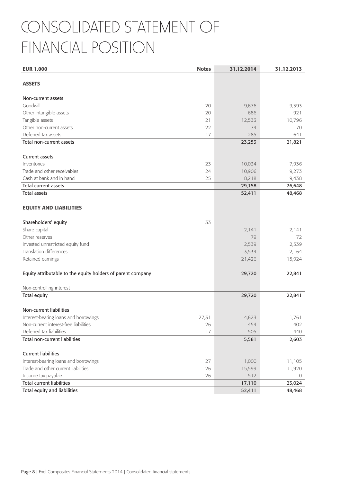## CONSOLIDATED STATEMENT OF FINANCIAL POSITION

| <b>EUR 1,000</b>                                            | <b>Notes</b> | 31.12.2014 | 31.12.2013 |
|-------------------------------------------------------------|--------------|------------|------------|
|                                                             |              |            |            |
| <b>ASSETS</b>                                               |              |            |            |
| Non-current assets                                          |              |            |            |
| Goodwill                                                    | 20           | 9,676      | 9,393      |
| Other intangible assets                                     | 20           | 686        | 921        |
| Tangible assets                                             | 21           | 12,533     | 10,796     |
| Other non-current assets                                    | 22           | 74         | 70         |
| Deferred tax assets                                         | 17           | 285        | 641        |
| Total non-current assets                                    |              | 23,253     | 21,821     |
|                                                             |              |            |            |
| <b>Current assets</b>                                       |              |            |            |
| Inventories                                                 | 23           | 10,034     | 7,936      |
| Trade and other receivables                                 | 24           | 10,906     | 9,273      |
| Cash at bank and in hand                                    | 25           | 8,218      | 9,438      |
| <b>Total current assets</b>                                 |              | 29,158     | 26,648     |
| Total assets                                                |              | 52,411     | 48,468     |
|                                                             |              |            |            |
| <b>EQUITY AND LIABILITIES</b>                               |              |            |            |
|                                                             |              |            |            |
| Shareholders' equity                                        | 33           |            |            |
| Share capital                                               |              | 2,141      | 2,141      |
| Other reserves                                              |              | 79         | 72         |
| Invested unrestricted equity fund                           |              | 2,539      | 2,539      |
| Translation differences                                     |              | 3,534      | 2,164      |
| Retained earnings                                           |              | 21,426     | 15,924     |
| Equity attributable to the equity holders of parent company |              | 29,720     | 22,841     |
| Non-controlling interest                                    |              |            |            |
| <b>Total equity</b>                                         |              | 29,720     | 22,841     |
|                                                             |              |            |            |
| <b>Non-current liabilities</b>                              |              |            |            |
| Interest-bearing loans and borrowings                       | 27,31        | 4,623      | 1,761      |
| Non-current interest-free liabilities                       | 26           | 454        | 402        |
| Deferred tax liabilities                                    | 17           | 505        | 440        |
| <b>Total non-current liabilities</b>                        |              | 5,581      | 2,603      |
|                                                             |              |            |            |
| <b>Current liabilities</b>                                  |              |            |            |
| Interest-bearing loans and borrowings                       | 27           | 1,000      | 11,105     |
| Trade and other current liabilities                         | 26           | 15,599     | 11,920     |
| Income tax payable                                          | 26           | 512        | 0          |
| <b>Total current liabilities</b>                            |              | 17,110     | 23,024     |
| Total equity and liabilities                                |              | 52,411     | 48,468     |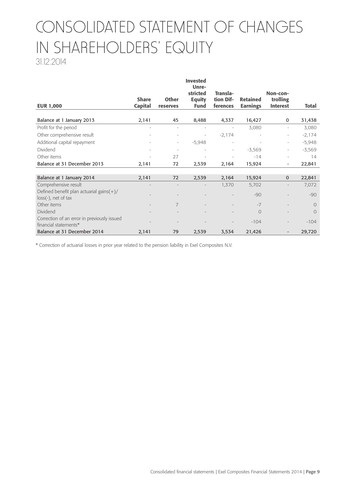# CONSOLIDATED STATEMENT OF CHANGES IN SHAREHOLDERS' EQUITY

31.12.2014

|                                                                      |                                |                          | <b>Invested</b><br>Unre-                 |                                   |                                    |                                         |            |
|----------------------------------------------------------------------|--------------------------------|--------------------------|------------------------------------------|-----------------------------------|------------------------------------|-----------------------------------------|------------|
| <b>EUR 1,000</b>                                                     | <b>Share</b><br><b>Capital</b> | <b>Other</b><br>reserves | stricted<br><b>Equity</b><br><b>Fund</b> | Transla-<br>tion Dif-<br>ferences | <b>Retained</b><br><b>Earnings</b> | Non-con-<br>trolling<br><b>Interest</b> | Total      |
| Balance at 1 January 2013                                            | 2,141                          | 45                       | 8,488                                    | 4,337                             | 16,427                             | 0                                       | 31,438     |
| Profit for the period                                                |                                | $\overline{a}$           |                                          |                                   | 3,080                              | $\overline{\phantom{a}}$                | 3,080      |
| Other comprehensive result                                           |                                | $\overline{\phantom{a}}$ | $\overline{\phantom{a}}$                 | $-2,174$                          |                                    | $\overline{\phantom{a}}$                | $-2,174$   |
| Additional capital repayment                                         |                                | $\overline{\phantom{a}}$ | $-5,948$                                 |                                   |                                    | $\overline{\phantom{a}}$                | $-5,948$   |
| Dividend                                                             |                                | $\overline{a}$           |                                          |                                   | $-3,569$                           | $\overline{\phantom{a}}$                | $-3,569$   |
| Other items                                                          |                                | 27                       |                                          |                                   | $-14$                              |                                         | 14         |
| Balance at 31 December 2013                                          | 2,141                          | 72                       | 2,539                                    | 2,164                             | 15,924                             | $\overline{\phantom{a}}$                | 22,841     |
|                                                                      |                                |                          |                                          |                                   |                                    |                                         |            |
| Balance at 1 January 2014                                            | 2,141                          | 72                       | 2,539                                    | 2,164                             | 15,924                             | $\mathbf 0$                             | 22,841     |
| Comprehensive result                                                 |                                |                          |                                          | 1,370                             | 5,702                              |                                         | 7,072      |
| Defined benefit plan actuarial gains(+)/<br>$loss(-)$ , net of tax   |                                |                          |                                          |                                   | $-90$                              |                                         | $-90$      |
| Other items                                                          |                                | 7                        |                                          |                                   | $-7$                               |                                         | $\bigcirc$ |
| Dividend                                                             |                                |                          |                                          |                                   | $\circ$                            |                                         | $\Omega$   |
| Correction of an error in previously issued<br>financial statements* |                                |                          |                                          |                                   | $-104$                             |                                         | $-104$     |
| Balance at 31 December 2014                                          | 2,141                          | 79                       | 2,539                                    | 3,534                             | 21,426                             | $\overline{\phantom{a}}$                | 29,720     |

\* Correction of actuarial losses in prior year related to the pension liability in Exel Composites N.V.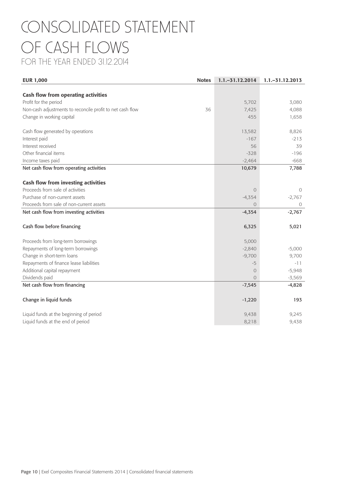## CONSOLIDATED STATEMENT OF CASH FLOWS FOR THE YEAR ENDED 31.12.2014

| <b>EUR 1,000</b><br><b>Notes</b>                                               |    | $1.1 - 31.12.2014$ | $1.1 - 31.12.2013$ |
|--------------------------------------------------------------------------------|----|--------------------|--------------------|
|                                                                                |    |                    |                    |
| <b>Cash flow from operating activities</b>                                     |    |                    |                    |
| Profit for the period                                                          |    | 5,702              | 3,080              |
| Non-cash adjustments to reconcile profit to net cash flow                      | 36 | 7,425              | 4,088              |
| Change in working capital                                                      |    | 455                | 1,658              |
| Cash flow generated by operations                                              |    | 13,582             | 8,826              |
| Interest paid                                                                  |    | $-167$             | $-213$             |
| Interest received                                                              |    | 56                 | 39                 |
| Other financial items                                                          |    | $-328$             | $-196$             |
| Income taxes paid                                                              |    | $-2,464$           | $-668$             |
| Net cash flow from operating activities                                        |    | 10,679             | 7,788              |
|                                                                                |    |                    |                    |
| <b>Cash flow from investing activities</b><br>Proceeds from sale of activities |    |                    |                    |
|                                                                                |    | $\Omega$           | $\Omega$           |
| Purchase of non-current assets                                                 |    | $-4,354$           | $-2,767$           |
| Proceeds from sale of non-current assets                                       |    | $\Omega$           | $\circ$            |
| Net cash flow from investing activities                                        |    | $-4,354$           | $-2,767$           |
| Cash flow before financing                                                     |    | 6,325              | 5,021              |
| Proceeds from long-term borrowings                                             |    | 5,000              |                    |
| Repayments of long-term borrowings                                             |    | $-2,840$           | $-5,000$           |
| Change in short-term loans                                                     |    | $-9,700$           | 9,700              |
| Repayments of finance lease liabilities                                        |    | $-5$               | $-11$              |
| Additional capital repayment                                                   |    | $\Omega$           | $-5,948$           |
| Dividends paid                                                                 |    | $\Omega$           | $-3,569$           |
| Net cash flow from financing                                                   |    | $-7,545$           | $-4,828$           |
| Change in liquid funds                                                         |    | $-1,220$           | 193                |
| Liquid funds at the beginning of period                                        |    | 9,438              | 9,245              |
| Liquid funds at the end of period                                              |    | 8,218              | 9,438              |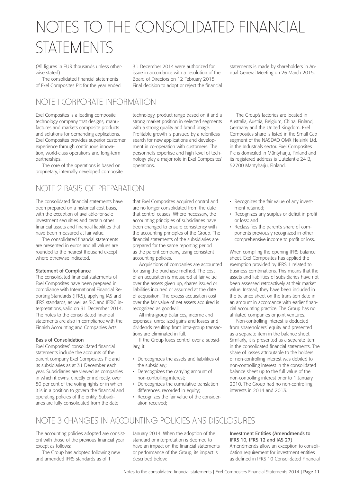## NOTES TO THE CONSOLIDATED FINANCIAL STATEMENTS

(All figures in EUR thousands unless otherwise stated)

The consolidated financial statements of Exel Composites Plc for the year ended

### NOTE 1 CORPORATE INFORMATION

Exel Composites is a leading composite technology company that designs, manufactures and markets composite products and solutions for demanding applications. Exel Composites provides superior customer experience through continuous innovation, world-class operations and long-term partnerships.

The core of the operations is based on proprietary, internally developed composite

### NOTE 2 BASIS OF PREPARATION

The consolidated financial statements have been prepared on a historical cost basis, with the exception of available-for-sale investment securities and certain other financial assets and financial liabilities that have been measured at fair value.

The consolidated financial statements are presented in euros and all values are rounded to the nearest thousand except where otherwise indicated.

### Statement of Compliance

The consolidated financial statements of Exel Composites have been prepared in compliance with International Financial Reporting Standards (IFRS), applying IAS and IFRS standards, as well as SIC and IFRIC interpretations, valid on 31 December 2014. The notes to the consolidated financial statements are also in compliance with the Finnish Accounting and Companies Acts.

### Basis of Consolidation

Exel Composites' consolidated financial statements include the accounts of the parent company Exel Composites Plc and its subsidiaries as at 31 December each year. Subsidiaries are viewed as companies in which it owns, directly or indirectly, over 50 per cent of the voting rights or in which it is in a position to govern the financial and operating policies of the entity. Subsidiaries are fully consolidated from the date

31 December 2014 were authorized for issue in accordance with a resolution of the Board of Directors on 12 February 2015. Final decision to adopt or reject the financial statements is made by shareholders in Annual General Meeting on 26 March 2015.

technology, product range based on it and a strong market position in selected segments with a strong quality and brand image. Profitable growth is pursued by a relentless search for new applications and development in co-operation with customers. The personnel's expertise and high level of technology play a major role in Exel Composites' operations.

The Group's factories are located in Australia, Austria, Belgium, China, Finland, Germany and the United Kingdom. Exel Composites share is listed in the Small Cap segment of the NASDAQ OMX Helsinki Ltd. in the Industrials sector. Exel Composites Plc is domiciled in Mäntyharju, Finland and its registered address is Uutelantie 24 B, 52700 Mäntyharju, Finland.

that Exel Composites acquired control and are no longer consolidated from the date that control ceases. Where necessary, the accounting principles of subsidiaries have been changed to ensure consistency with the accounting principles of the Group. The financial statements of the subsidiaries are prepared for the same reporting period as the parent company, using consistent accounting policies.

Acquisitions of companies are accounted for using the purchase method. The cost of an acquisition is measured at fair value over the assets given up, shares issued or liabilities incurred or assumed at the date of acquisition. The excess acquisition cost over the fair value of net assets acquired is recognized as goodwill.

All intra-group balances, income and expenses, unrealized gains and losses and dividends resulting from intra-group transactions are eliminated in full.

If the Group loses control over a subsidiary, it:

- Derecognizes the assets and liabilities of the subsidiary;
- Derecognizes the carrying amount of non-controlling interest;
- Derecognizes the cumulative translation differences, recorded in equity;
- Recognizes the fair value of the consideration received;
- Recognizes the fair value of any investment retained;
- Recognizes any surplus or deficit in profit or loss: and
- Reclassifies the parent's share of components previously recognized in other comprehensive income to profit or loss.

When compiling the opening IFRS balance sheet, Exel Composites has applied the exemption provided by IFRS 1 related to business combinations. This means that the assets and liabilities of subsidiaries have not been assessed retroactively at their market value. Instead, they have been included in the balance sheet on the transition date in an amount in accordance with earlier financial accounting practice. The Group has no affiliated companies or joint ventures.

Non-controlling interest is deducted from shareholders' equity and presented as a separate item in the balance sheet. Similarly, it is presented as a separate item in the consolidated financial statements. The share of losses attributable to the holders of non-controlling interest was debited to non-controlling interest in the consolidated balance sheet up to the full value of the non-controlling interest prior to 1 January 2010. The Group had no non-controlling interests in 2014 and 2013.

### NOTE 3 CHANGES IN ACCOUNTING POLICIES ANS DISCLOSURES

The accounting policies adopted are consistent with those of the previous financial year except as follows:

The Group has adopted following new and amended IFRS standards as of 1

January 2014. When the adoption of the standard or interpretation is deemed to have an impact on the financial statements or performance of the Group, its impact is described below:

### Investment Entities (Amendmends to IFRS 10, IFRS 12 and IAS 27)

Amendmends allow an exception to consolidation requirement for investment entities as defined in IFRS 10 Consolidated Financial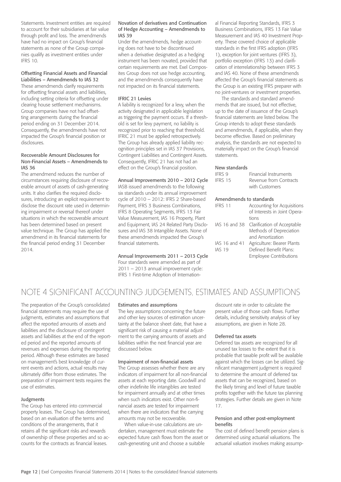Statements. Investment entities are required to account for their subsidiaries at fair value through profit and loss. The amendmends have had no impact on Group's financial statements as none of the Group companies qualify as investment entities under IFRS 10.

### Offsetting Financial Assets and Financial Liabilities – Amendmends to IAS 32

These amendmends clarify requirements for offsetting financial assets and liabilities, including setting criteria for offsetting under clearing house settlement mechanisms. Group companies have not had offsetting arrangements during the financial period ending on 31 December 2014. Consequently, the amendmends have not impacted the Group's financial position or disclosures.

### Recoverable Amount Disclosures for Non-Financial Assets – Amendmends to  $IAS$  36

The amendmend reduces the number of circumstances requiring disclosure of recoverable amount of assets of cash-generating units. It also clarifies the required disclosures, introducing an explicit requirement to disclose the discount rate used in determining impairment or reversal thereof under situations in which the recoverable amount has been determined based on present value technique. The Group has applied the amendmend in its financial statements for the financial period ending 31 December 2014.

### Novation of derivatives and Continuation of Hedge Accounting – Amendmends to IAS 39

Under the amendmends, hedge accounting does not have to be discontinued when a derivative designated as a hedging instrument has been novated, provided that certain requirements are met. Exel Composites Group does not use hedge accounting, and the amendmends consequently have not impacted on its financial statements.

### IFRIC 21 Levies

A liability is recognized for a levy, when the activity designated in applicable legislation as triggering the payment occurs. If a threshold is set for levy payment, no liability is recognized prior to reaching that threshold. IFRIC 21 must be applied retrospectively. The Group has already applied liability recognition principles set in IAS 37 Provisions, Contingent Liabilities and Contingent Assets. Consequently, IFRIC 21 has not had an effect on the Group's financial position.

### Annual Improvements 2010 – 2012 Cycle

IASB issued amendmends to the following six standards under its annual improvement cycle of 2010 – 2012: IFRS 2 Share-based Payment, IFRS 3 Business Combinations, IFRS 8 Operating Segments, IFRS 13 Fair Value Measurement, IAS 16 Property, Plant and Equipment, IAS 24 Related Party Disclosures and IAS 38 Intangible Assets. None of these amendmends impacted the Group's financial statements.

Annual Improvements 2011 – 2013 Cycle Four standards were amended as part of

2011 – 2013 annual improvement cycle: IFRS 1 First-time Adoption of International Financial Reporting Standards, IFRS 3 Business Combinations, IFRS 13 Fair Value Measurement and IAS 40 Investment Property. These covered choice of applicable standards in the first IFRS adoption (IFRS 1), exception for joint ventures (IFRS 3), portfolio exception (IFRS 13) and clarification of interrelationship between IFRS 3 and IAS 40. None of these amendmends affected the Group's financial statements as the Group is an existing IFRS preparer with no joint-ventures or investment properties.

The standards and standard amendmends that are issued, but not effective, up to the date of issuance of the Group's financial statements are listed below. The Group intends to adopt these standards and amendmends, if applicable, when they become effective. Based on preliminary analysis, the standards are not expected to materially impact on the Group's financial statements.

### New standards

| IFRS 9  | <b>Financial Instruments</b>   |
|---------|--------------------------------|
| IFRS 15 | Revenue from Contracts         |
|         | with Customers                 |
|         | Amendmends to standards        |
|         |                                |
|         | $\mathcal{L} \cap \mathcal{L}$ |

| IFRS 11       | Accounting for Acquisitions   |
|---------------|-------------------------------|
|               | of Interests in Joint Opera-  |
|               | tions                         |
| IAS 16 and 38 | Clarification of Acceptable   |
|               | Methods of Depreciation       |
|               | and Amortization              |
| IAS 16 and 41 | Agriculture: Bearer Plants    |
| <b>IAS 19</b> | Defined Benefit Plans:        |
|               | <b>Employee Contributions</b> |

### NOTE 4 SIGNIFICANT ACCOUNTING JUDGEMENTS, ESTIMATES AND ASSUMPTIONS

The preparation of the Group's consolidated financial statements may require the use of judgments, estimates and assumptions that affect the reported amounts of assets and liabilities and the disclosure of contingent assets and liabilities at the end of the reported period and the reported amounts of revenues and expenses during the reporting period. Although these estimates are based on management's best knowledge of current events and actions, actual results may ultimately differ from those estimates. The preparation of impairment tests requires the use of estimates.

### Judgments

The Group has entered into commercial property leases. The Group has determined, based on an evaluation of the terms and conditions of the arrangements, that it retains all the significant risks and rewards of ownership of these properties and so accounts for the contracts as financial leases.

### Estimates and assumptions

The key assumptions concerning the future and other key sources of estimation uncertainty at the balance sheet date, that have a significant risk of causing a material adjustment to the carrying amounts of assets and liabilities within the next financial year are discussed below.

### Impairment of non-financial assets

The Group assesses whether there are any indicators of impairment for all non-financial assets at each reporting date. Goodwill and other indefinite life intangibles are tested for impairment annually and at other times when such indicators exist. Other non-financial assets are tested for impairment when there are indicators that the carrying amounts may not be recoverable.

When value-in-use calculations are undertaken, management must estimate the expected future cash flows from the asset or cash-generating unit and choose a suitable

discount rate in order to calculate the present value of those cash flows. Further details, including sensitivity analysis of key assumptions, are given in Note 28.

### Deferred tax assets

Deferred tax assets are recognized for all unused tax losses to the extent that it is probable that taxable profit will be available against which the losses can be utilized. Significant management judgment is required to determine the amount of deferred tax assets that can be recognized, based on the likely timing and level of future taxable profits together with the future tax planning strategies. Further details are given in Note 17.

### Pension and other post-employment benefits

The cost of defined benefit pension plans is determined using actuarial valuations. The actuarial valuation involves making assump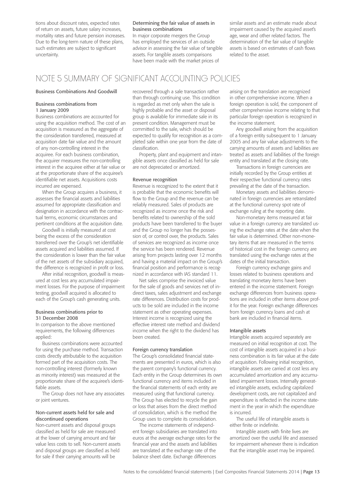tions about discount rates, expected rates of return on assets, future salary increases, mortality rates and future pension increases. Due to the long-term nature of these plans, such estimates are subject to significant uncertainty.

#### Determining the fair value of assets in business combinations

In major corporate mergers the Group has employed the services of an outside advisor in assessing the fair value of tangible assets. For tangible assets comparisons have been made with the market prices of

similar assets and an estimate made about impairment caused by the acquired asset's age, wear and other related factors. The determination of the fair value of tangible assets is based on estimates of cash flows related to the asset.

### NOTE 5 SUMMARY OF SIGNIFICANT ACCOUNTING POLICIES

### Business Combinations And Goodwill

#### Business combinations from 1 January 2009

Business combinations are accounted for using the acquisition method. The cost of an acquisition is measured as the aggregate of the consideration transferred, measured at acquisition date fair value and the amount of any non-controlling interest in the acquiree. For each business combination, the acquirer measures the non-controlling interest in the acquiree either at fair value or at the proportionate share of the acquiree's identifiable net assets. Acquisitions costs incurred are expensed.

When the Group acquires a business, it assesses the financial assets and liabilities assumed for appropriate classification and designation in accordance with the contractual terms, economic circumstances and pertinent conditions at the acquisition date.

Goodwill is initially measured at cost being the excess of the consideration transferred over the Group's net identifiable assets acquired and liabilities assumed. If the consideration is lower than the fair value of the net assets of the subsidiary acquired, the difference is recognized in profit or loss.

After initial recognition, goodwill is measured at cost less any accumulated impairment losses. For the purpose of impairment testing, goodwill acquired is allocated to each of the Group's cash generating units.

### Business combinations prior to 31 December 2008

In comparison to the above mentioned requirements, the following differences applied:

Business combinations were accounted for using the purchase method. Transaction costs directly attributable to the acquisition formed part of the acquisition costs. The non-controlling interest (formerly known as minority interest) was measured at the proportionate share of the acquiree's identifiable assets.

The Group does not have any associates or joint ventures.

### Non-current assets held for sale and discontinued operations

Non-current assets and disposal groups classified as held for sale are measured at the lower of carrying amount and fair value less costs to sell. Non-current assets and disposal groups are classified as held for sale if their carrying amounts will be

recovered through a sale transaction rather than through continuing use. This condition is regarded as met only when the sale is highly probable and the asset or disposal group is available for immediate sale in its present condition. Management must be committed to the sale, which should be expected to qualify for recognition as a completed sale within one year from the date of classification.

Property, plant and equipment and intangible assets once classified as held for sale are not depreciated or amortized.

#### Revenue recognition

Revenue is recognized to the extent that it is probable that the economic benefits will flow to the Group and the revenue can be reliably measured. Sales of products are recognized as income once the risk and benefits related to ownership of the sold products have been transferred to the buyer and the Group no longer has the possession of, or control over, the products. Sales of services are recognized as income once the service has been rendered. Revenue arising from projects lasting over 12 months and having a material impact on the Group's financial position and performance is recognized in accordance with IAS standard 11.

Net sales comprise the invoiced value for the sale of goods and services net of indirect taxes, sales adjustment and exchange rate differences. Distribution costs for products to be sold are included in the income statement as other operating expenses. Interest income is recognized using the effective interest rate method and dividend income when the right to the dividend has been created.

#### Foreign currency translation

The Group's consolidated financial statements are presented in euros, which is also the parent company's functional currency. Each entity in the Group determines its own functional currency and items included in the financial statements of each entity are measured using that functional currency. The Group has elected to recycle the gain or loss that arises from the direct method of consolidation, which is the method the Group uses to complete its consolidation.

The income statements of independent foreign subsidiaries are translated into euros at the average exchange rates for the financial year and the assets and liabilities are translated at the exchange rate of the balance sheet date. Exchange differences

arising on the translation are recognized in other comprehensive income. When a foreign operation is sold, the component of other comprehensive income relating to that particular foreign operation is recognized in the income statement.

Any goodwill arising from the acquisition of a foreign entity subsequent to 1 January 2005 and any fair value adjustments to the carrying amounts of assets and liabilities are treated as assets and liabilities of the foreign entity and translated at the closing rate.

Transactions in foreign currencies are initially recorded by the Group entities at their respective functional currency rates prevailing at the date of the transaction.

Monetary assets and liabilities denominated in foreign currencies are retranslated at the functional currency spot rate of exchange ruling at the reporting date.

Non-monetary items measured at fair value in a foreign currency are translated using the exchange rates at the date when the fair value is determined. Other non-monetary items that are measured in the terms of historical cost in the foreign currency are translated using the exchange rates at the dates of the initial transaction.

Foreign currency exchange gains and losses related to business operations and translating monetary items have been entered in the income statement. Foreign exchange differences from business operations are included in other items above profit for the year. Foreign exchange differences from foreign currency loans and cash at bank are included in financial items.

#### Intangible assets

Intangible assets acquired separately are measured on initial recognition at cost. The cost of intangible assets acquired in a business combination is its fair value at the date of acquisition. Following initial recognition, intangible assets are carried at cost less any accumulated amortization and any accumulated impairment losses. Internally generated intangible assets, excluding capitalized development costs, are not capitalized and expenditure is reflected in the income statement in the year in which the expenditure is incurred.

The useful life of intangible assets is either finite or indefinite.

Intangible assets with finite lives are amortized over the useful life and assessed for impairment whenever there is indication that the intangible asset may be impaired.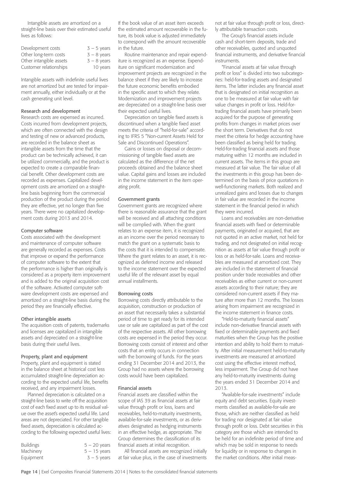Intangible assets are amortized on a straight-line basis over their estimated useful lives as follows:

| Development costs       | $3 - 5$ years |
|-------------------------|---------------|
| Other long-term costs   | $3 - 8$ years |
| Other intangible assets | $3 - 8$ years |
| Customer relationships  | 10 years      |

Intangible assets with indefinite useful lives are not amortized but are tested for impairment annually, either individually or at the cash generating unit level.

### Research and development

Research costs are expensed as incurred. Costs incurred from development projects, which are often connected with the design and testing of new or advanced products, are recorded in the balance sheet as intangible assets from the time that the product can be technically achieved, it can be utilized commercially, and the product is expected to create a comparable financial benefit. Other development costs are recorded as expenses. Capitalized development costs are amortized on a straightline basis beginning from the commercial production of the product during the period they are effective, yet no longer than five years. There were no capitalized development costs during 2013 and 2014.

#### Computer software

Costs associated with the development and maintenance of computer software are generally recorded as expenses. Costs that improve or expand the performance of computer software to the extent that the performance is higher than originally is considered as a property item improvement and is added to the original acquisition cost of the software. Activated computer software development costs are expensed and amortized on a straight-line basis during the period they are financially effective.

#### Other intangible assets

The acquisition costs of patents, trademarks and licenses are capitalized in intangible assets and depreciated on a straight-line basis during their useful lives.

#### Property, plant and equipment

Property, plant and equipment is stated in the balance sheet at historical cost less accumulated straight-line depreciation according to the expected useful life, benefits received, and any impairment losses.

Planned depreciation is calculated on a straight-line basis to write off the acquisition cost of each fixed asset up to its residual value over the asset's expected useful life. Land areas are not depreciated. For other tangible fixed assets, depreciation is calculated according to the following expected useful lives:

| <b>Buildings</b> | $5 - 20$ years |
|------------------|----------------|
| Machinery        | $5 - 15$ years |
| Equipment        | $3 - 5$ years  |

If the book value of an asset item exceeds the estimated amount recoverable in the future, its book value is adjusted immediately to correspond with the amount recoverable in the future.

Routine maintenance and repair expenditure is recognized as an expense. Expenditure on significant modernization and improvement projects are recognized in the balance sheet if they are likely to increase the future economic benefits embodied in the specific asset to which they relate. Modernization and improvement projects are depreciated on a straight-line basis over their expected useful lives.

Depreciation on tangible fixed assets is discontinued when a tangible fixed asset meets the criteria of "held-for-sale" according to IFRS 5 "Non-current Assets Held for Sale and Discontinued Operations".

Gains or losses on disposal or decommissioning of tangible fixed assets are calculated as the difference of the net proceeds obtained and the balance sheet value. Capital gains and losses are included in the income statement in the item operating profit.

### Government grants

Government grants are recognized where there is reasonable assurance that the grant will be received and all attaching conditions will be complied with. When the grant relates to an expense item, it is recognized as an income over the period necessary to match the grant on a systematic basis to the costs that it is intended to compensate. Where the grant relates to an asset, it is recognized as deferred income and released to the income statement over the expected useful life of the relevant asset by equal annual installments.

#### Borrowing costs

Borrowing costs directly attributable to the acquisition, construction or production of an asset that necessarily takes a substantial period of time to get ready for its intended use or sale are capitalized as part of the cost of the respective assets. All other borrowing costs are expensed in the period they occur. Borrowing costs consist of interest and other costs that an entity occurs in connection with the borrowing of funds. For the years ending 31 December 2014 and 2013, the Group had no assets where the borrowing costs would have been capitalized.

### Financial assets

Financial assets are classified within the scope of IAS 39 as financial assets at fair value through profit or loss, loans and receivables, held-to-maturity investments, available-for-sale investments, or as derivatives designated as hedging instruments in an effective hedge, as appropriate. The Group determines the classification of its financial assets at initial recognition.

All financial assets are recognized initially at fair value plus, in the case of investments not at fair value through profit or loss, directly attributable transaction costs.

The Group's financial assets include cash and short-term deposits, trade and other receivables, quoted and unquoted financial instruments, and derivative financial instruments.

"Financial assets at fair value through profit or loss" is divided into two subcategories: held-for-trading assets and designated items. The latter includes any financial asset that is designated on initial recognition as one to be measured at fair value with fair value changes in profit or loss. Held-fortrading financial assets have primarily been acquired for the purpose of generating profits from changes in market prices over the short term. Derivatives that do not meet the criteria for hedge accounting have been classified as being held for trading. Held-for-trading financial assets and those maturing within 12 months are included in current assets. The items in this group are measured at fair value. The fair value of all the investments in this group has been determined on the basis of price quotations in well-functioning markets. Both realized and unrealized gains and losses due to changes in fair value are recorded in the income statement in the financial period in which they were incurred.

Loans and receivables are non-derivative financial assets with fixed or determinable payments, originated or acquired, that are not quoted in an active market, not held for trading, and not designated on initial recognition as assets at fair value through profit or loss or as held-for-sale. Loans and receivables are measured at amortized cost. They are included in the statement of financial position under trade receivables and other receivables as either current or non-current assets according to their nature; they are considered non-current assets if they mature after more than 12 months. The losses arising from impairment are recognized in the income statement in finance costs.

"Held-to-maturity financial assets" include non-derivative financial assets with fixed or determinable payments and fixed maturities when the Group has the positive intention and ability to hold them to maturity. After initial measurement held-to-maturity investments are measured at amortized cost using the effective interest method, less impairment. The Group did not have any held-to-maturity investments during the years ended 31 December 2014 and 2013.

"Available-for-sale investments" include equity and debt securities. Equity investments classified as available-for-sale are those, which are neither classified as held for trading nor designated at fair value through profit or loss. Debt securities in this category are those which are intended to be held for an indefinite period of time and which may be sold in response to needs for liquidity or in response to changes in the market conditions. After initial meas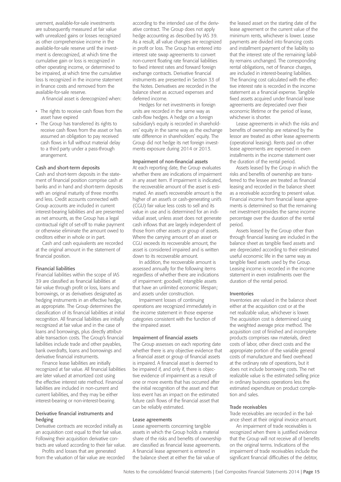urement, available-for-sale investments are subsequently measured at fair value with unrealized gains or losses recognized as other comprehensive income in the available-for-sale reserve until the investment is derecognized, at which time the cumulative gain or loss is recognized in other operating income, or determined to be impaired, at which time the cumulative loss Is recognized in the income statement in finance costs and removed from the available-for-sale reserve.

A financial asset is derecognized when:

- The rights to receive cash flows from the asset have expired
- The Group has transferred its rights to receive cash flows from the asset or has assumed an obligation to pay received cash flows in full without material delay to a third party under a pass-through arrangement.

#### Cash and short-term deposits

Cash and short-term deposits in the statement of financial position comprise cash at banks and in hand and short-term deposits with an original maturity of three months and less. Credit accounts connected with Group accounts are included in current interest-bearing liabilities and are presented as net amounts, as the Group has a legal contractual right of set-off to make payment or otherwise eliminate the amount owed to creditors either in whole or in part.

Cash and cash equivalents are recorded at the original amount in the statement of financial position.

#### Financial liabilities

Financial liabilities within the scope of IAS 39 are classified as financial liabilities at fair value through profit or loss, loans and borrowings, or as derivatives designated as hedging instruments in an effective hedge, as appropriate. The Group determines the classification of its financial liabilities at initial recognition. All financial liabilities are initially recognized at fair value and in the case of loans and borrowings, plus directly attributable transaction costs. The Group's financial liabilities include trade and other payables, bank overdrafts, loans and borrowings and derivative financial instruments.

Finance lease liabilities are initially recognized at fair value. All financial liabilities are later valued at amortized cost using the effective interest rate method. Financial liabilities are included in non-current and current liabilities, and they may be either interest-bearing or non-interest-bearing.

### Derivative financial instruments and hedging

Derivative contracts are recorded initially as an acquisition cost equal to their fair value. Following their acquisition derivative contracts are valued according to their fair value.

Profits and losses that are generated from the valuation of fair value are recorded

according to the intended use of the derivative contract. The Group does not apply hedge accounting as described by IAS 39. As a result, all value changes are recognized in profit or loss. The Group has entered into interest rate swap agreements to convert non-current floating rate financial liabilities to fixed interest rates and forward foreign exchange contracts. Derivative financial instruments are presented in Section 33 of the Notes. Derivatives are recorded in the balance sheet as accrued expenses and deferred income.

Hedges for net investments in foreign units are recorded in the same way as cash-flow hedges. A hedge on a foreign subsidiary's equity is recorded in shareholders' equity in the same way as the exchange rate difference in shareholders' equity. The Group did not hedge its net foreign investments exposure during 2014 or 2013.

### Impairment of non-financial assets

At each reporting date, the Group evaluates whether there are indications of impairment in any asset item. If impairment is indicated, the recoverable amount of the asset is estimated. An asset's recoverable amount is the higher of an asset's or cash-generating unit's (CGU) fair value less costs to sell and its value in use and is determined for an individual asset, unless asset does not generate cash inflows that are largely independent of those from other assets or group of assets. Where the carrying amount of an asset or CGU exceeds its recoverable amount, the asset is considered impaired and is written down to its recoverable amount.

In addition, the recoverable amount is assessed annually for the following items regardless of whether there are indications of impairment: goodwill; intangible assets that have an unlimited economic lifespan; and assets under construction.

Impairment losses of continuing operations are recognized immediately in the income statement in those expense categories consistent with the function of the impaired asset.

#### Impairment of financial assets

The Group assesses on each reporting date whether there is any objective evidence that a financial asset or group of financial assets is impaired. A financial asset is deemed to be impaired if, and only if, there is objective evidence of impairment as a result of one or more events that has occurred after the initial recognition of the asset and that loss event has an impact on the estimated future cash flows of the financial asset that can be reliably estimated.

### Lease agreements

Lease agreements concerning tangible assets in which the Group holds a material share of the risks and benefits of ownership are classified as financial lease agreements. A financial lease agreement is entered in the balance sheet at either the fair value of

the leased asset on the starting date of the lease agreement or the current value of the minimum rents, whichever is lower. Lease payments are divided into financing costs and installment payment of the liability so that the interest rate of the remaining liability remains unchanged. The corresponding rental obligations, net of finance charges, are included in interest-bearing liabilities. The financing cost calculated with the effective interest rate is recorded in the income statement as a financial expense. Tangible fixed assets acquired under financial lease agreements are depreciated over their economic lifetime or the period of lease, whichever is shorter.

Lease agreements in which the risks and benefits of ownership are retained by the lessor are treated as other lease agreements (operational leasing). Rents paid on other lease agreements are expensed in even installments in the income statement over the duration of the rental period.

Assets leased by the Group in which the risks and benefits of ownership are transferred to the lessee are treated as financial leasing and recorded in the balance sheet as a receivable according to present value. Financial income from financial lease agreements is determined so that the remaining net investment provides the same income percentage over the duration of the rental period.

Assets leased by the Group other than through financial leasing are included in the balance sheet as tangible fixed assets and are depreciated according to their estimated useful economic life in the same way as tangible fixed assets used by the Group. Leasing income is recorded in the income statement in even installments over the duration of the rental period.

#### Inventories

Inventories are valued in the balance sheet either at the acquisition cost or at the net realizable value, whichever is lower. The acquisition cost is determined using the weighted average price method. The acquisition cost of finished and incomplete products comprises raw materials, direct costs of labor, other direct costs and the appropriate portion of the variable general costs of manufacture and fixed overhead at the ordinary rate of operations, but it does not include borrowing costs. The net realizable value is the estimated selling price in ordinary business operations less the estimated expenditure on product completion and sales.

### Trade receivables

Trade receivables are recorded in the balance sheet at their original invoice amount.

An impairment of trade receivables is recognized when there is justified evidence that the Group will not receive all of benefits on the original terms. Indications of the impairment of trade receivables include the significant financial difficulties of the debtor,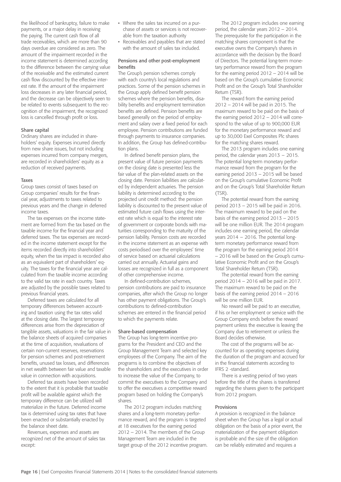the likelihood of bankruptcy, failure to make payments, or a major delay in receiving the paying. The current cash flow of all trade receivables, which are more than 90 days overdue are considered as zero. The amount of the impairment recorded in the income statement is determined according to the difference between the carrying value of the receivable and the estimated current cash flow discounted by the effective interest rate. If the amount of the impairment loss decreases in any later financial period, and the decrease can be objectively seen to be related to events subsequent to the recognition of the impairment, the recognized loss is cancelled through profit or loss.

### Share capital

Ordinary shares are included in shareholders' equity. Expenses incurred directly from new share issues, but not including expenses incurred from company mergers, are recorded in shareholders' equity as a reduction of received payments.

#### Taxes

Group taxes consist of taxes based on Group companies' results for the financial year, adjustments to taxes related to previous years and the change in deferred income taxes.

The tax expenses on the income statement are formed from the tax based on the taxable income for the financial year and deferred taxes. The tax expenses are recorded in the income statement except for the items recorded directly into shareholders' equity, when the tax impact is recorded also as an equivalent part of shareholders' equity. The taxes for the financial year are calculated from the taxable income according to the valid tax rate in each country. Taxes are adjusted by the possible taxes related to previous financial years.

Deferred taxes are calculated for all temporary differences between accounting and taxation using the tax rates valid at the closing date. The largest temporary differences arise from the depreciation of tangible assets, valuations in the fair value in the balance sheets of acquired companies at the time of acquisition, revaluations of certain non-current reserves, reservations for pension schemes and post-retirement benefits, unused tax losses, and differences in net wealth between fair value and taxable value in connection with acquisitions.

Deferred tax assets have been recorded to the extent that it is probable that taxable profit will be available against which the temporary difference can be utilized will materialize in the future. Deferred income tax is determined using tax rates that have been enacted or substantially enacted by the balance sheet date.

Revenues, expenses and assets are recognized net of the amount of sales tax except:

- Where the sales tax incurred on a purchase of assets or services is not recoverable from the taxation authority
- Receivables and payables that are stated with the amount of sales tax included.

### Pensions and other post-employment benefits

The Group's pension schemes comply with each country's local regulations and practices. Some of the pension schemes in the Group apply defined benefit pension schemes where the pension benefits, disability benefits and employment termination benefits are defined. Pension benefits are based generally on the period of employment and salary over a fixed period for each employee. Pension contributions are funded through payments to insurance companies. In addition, the Group has defined-contribution plans.

In defined benefit pension plans, the present value of future pension payments on the closing date is presented less the fair value of the plan-related assets on the closing date. Pension liabilities are calculated by independent actuaries. The pension liability is determined according to the projected unit credit method: the pension liability is discounted to the present value of estimated future cash flows using the interest rate which is equal to the interest rate of government or corporate bonds with maturities corresponding to the maturity of the pension liability. Pension costs are recorded in the income statement as an expense with costs periodised over the employees' time of service based on actuarial calculations carried out annually. Actuarial gains and losses are recognized in full as a component of other comprehensive income.

In defined-contribution schemes, pension contributions are paid to insurance companies, after which the Group no longer has other payment obligations. The Group's contributions to defined-contribution schemes are entered in the financial period to which the payments relate.

### Share-based compensation

The Group has long-term incentive programs for the President and CEO and the Group Management Team and selected key employees of the Company. The aim of the programs is to combine the objectives of the shareholders and the executives in order to increase the value of the Company, to commit the executives to the Company and to offer the executives a competitive reward program based on holding the Company's shares.

The 2012 program includes matching shares and a long-term monetary performance reward, and the program is targeted at 18 executives for the earning period 2012 – 2014. The members of the Group Management Team are included in the target group of the 2012 incentive program.

The 2012 program includes one earning period, the calendar years 2012 – 2014. The prerequisite for the participation in the matching shares component is that the executive owns the Company's shares in accordance with the decision by the Board of Directors. The potential long-term monetary performance reward from the program for the earning period 2012 – 2014 will be based on the Group's cumulative Economic Profit and on the Group's Total Shareholder Return (TSR).

The reward from the earning period 2012 – 2014 will be paid in 2015. The maximum reward to be paid on the basis of the earning period 2012 – 2014 will correspond to the value of up to 900,000 EUR for the monetary performance reward and up to 30,000 Exel Composites Plc shares for the matching shares reward.

The 2013 program includes one earning period, the calendar years 2013 − 2015. The potential long-term monetary performance reward from the program for the earning period 2013 – 2015 will be based on the Group's cumulative Economic Profit and on the Group's Total Shareholder Return (TSR).

The potential reward from the earning period 2013 – 2015 will be paid in 2016. The maximum reward to be paid on the basis of the earning period 2013 – 2015 will be one million EUR. The 2014 program includes one earning period, the calendar years 2014 - 2016. The potential longterm monetary performance reward from the program for the earning period 2014 – 2016 will be based on the Group's cumulative Economic Profit and on the Group's Total Shareholder Return (TSR).

The potential reward from the earning period 2014 – 2016 will be paid in 2017. The maximum reward to be paid on the basis of the earning period 2014 – 2016 will be one million EUR.

No reward will be paid to an executive, if his or her employment or service with the Group Company ends before the reward payment unless the executive is leaving the Company due to retirement or unless the Board decides otherwise.

The cost of the programs will be accounted for as operating expenses during the duration of the program and accrued for in the financial statements according to IFRS 2 -standard.

There is a vesting period of two years before the title of the shares is transferred regarding the shares given to the participant from 2012 program.

### Provisions

A provision is recognized in the balance sheet when the Group has a legal or actual obligation on the basis of a prior event, the materialization of the payment obligation is probable and the size of the obligation can be reliably estimated and requires a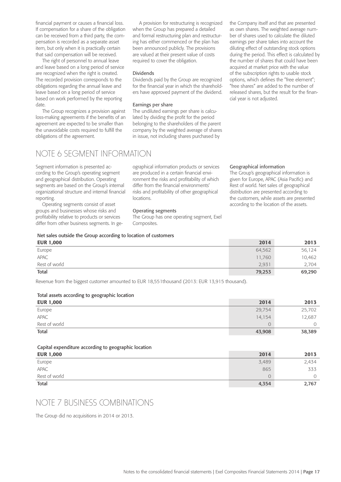financial payment or causes a financial loss. If compensation for a share of the obligation can be received from a third party, the compensation is recorded as a separate asset item, but only when it is practically certain that said compensation will be received.

The right of personnel to annual leave and leave based on a long period of service are recognized when the right is created. The recorded provision corresponds to the obligations regarding the annual leave and leave based on a long period of service based on work performed by the reporting date.

The Group recognizes a provision against loss-making agreements if the benefits of an agreement are expected to be smaller than the unavoidable costs required to fulfill the obligations of the agreement.

A provision for restructuring is recognized when the Group has prepared a detailed and formal restructuring plan and restructuring has either commenced or the plan has been announced publicly. The provisions are valued at their present value of costs required to cover the obligation.

### Dividends

Dividends paid by the Group are recognized for the financial year in which the shareholders have approved payment of the dividend.

#### Earnings per share

The undiluted earnings per share is calculated by dividing the profit for the period belonging to the shareholders of the parent company by the weighted average of shares in issue, not including shares purchased by

the Company itself and that are presented as own shares. The weighted average number of shares used to calculate the diluted earnings per share takes into account the diluting effect of outstanding stock options during the period. This effect is calculated by the number of shares that could have been acquired at market price with the value of the subscription rights to usable stock options, which defines the "free element"; "free shares" are added to the number of released shares, but the result for the financial year is not adjusted.

### NOTE 6 SEGMENT INFORMATION

Segment information is presented according to the Group's operating segment and geographical distribution. Operating segments are based on the Group's internal organizational structure and internal financial reporting.

Operating segments consist of asset groups and businesses whose risks and profitability relative to products or services differ from other business segments. In ge-

ographical information products or services are produced in a certain financial environment the risks and profitability of which differ from the financial environments' risks and profitability of other geographical locations.

#### Operating segments

The Group has one operating segment, Exel Composites.

#### Geographical information

The Group's geographical information is given for Europe, APAC (Asia Pacific) and Rest of world. Net sales of geographical distribution are presented according to the customers, while assets are presented according to the location of the assets.

|  | Net sales outside the Group according to location of customers |  |  |
|--|----------------------------------------------------------------|--|--|
|  |                                                                |  |  |

| <b>EUR 1,000</b> | 2014   | 2013   |
|------------------|--------|--------|
| Europe           | 64,562 | 56,124 |
| APAC             | 11,760 | 10,462 |
| Rest of world    | 2,931  | 2,704  |
| Total            | 79,253 | 69,290 |

Revenue from the biggest customer amounted to EUR 18,551thousand (2013: EUR 13,915 thousand).

### Total assets according to geographic location

| <b>EUR 1,000</b> | 2014   | 2013   |
|------------------|--------|--------|
| Europe           | 29,754 | 25,702 |
| APAC             | 14.154 | 12,687 |
| Rest of world    |        |        |
| Total            | 43,908 | 38,389 |

#### Capital expenditure according to geographic location

| <b>EUR 1,000</b> | 2014  | 2013  |
|------------------|-------|-------|
| Europe           | 3,489 | 2,434 |
| APAC             | 865   | 333   |
| Rest of world    |       |       |
| Total            | 4,354 | 2,767 |

### NOTE 7 BUSINESS COMBINATIONS

The Group did no acquisitions in 2014 or 2013.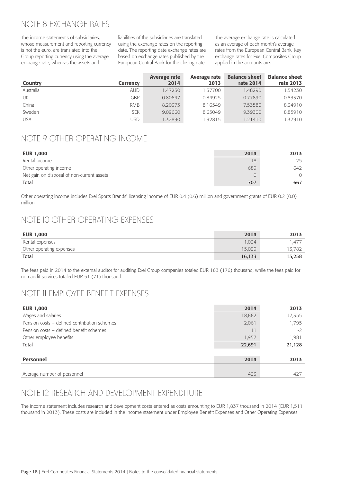### NOTE 8 EXCHANGE RATES

The income statements of subsidiaries, whose measurement and reporting currency is not the euro, are translated into the Group reporting currency using the average exchange rate, whereas the assets and

liabilities of the subsidiaries are translated using the exchange rates on the reporting date. The reporting date exchange rates are based on exchange rates published by the European Central Bank for the closing date.

The average exchange rate is calculated as an average of each month's average rates from the European Central Bank. Key exchange rates for Exel Composites Group applied in the accounts are:

|                |                 | <b>Average rate</b> | Average rate | <b>Balance sheet</b> | <b>Balance sheet</b> |
|----------------|-----------------|---------------------|--------------|----------------------|----------------------|
| <b>Country</b> | <b>Currency</b> | 2014                | 2013         | rate 2014            | rate 2013            |
| Australia      | <b>AUD</b>      | .47250              | 1.37700      | 1.48290              | 1.54230              |
| UK             | GBP             | 0.80647             | 0.84925      | 0.77890              | 0.83370              |
| China          | <b>RMB</b>      | 8.20373             | 8.16549      | 7.53580              | 8.34910              |
| Sweden         | <b>SEK</b>      | 9.09660             | 8.65049      | 9.39300              | 8.85910              |
| <b>USA</b>     | <b>USD</b>      | .32890              | 1.32815      | 1.21410              | 1.37910              |

### NOTE 9 OTHER OPERATING INCOME

| <b>EUR 1,000</b>                           | 2014 | 2013 |
|--------------------------------------------|------|------|
| Rental income                              | 18   | 25   |
| Other operating income                     | 689  | 642  |
| Net gain on disposal of non-current assets |      |      |
| Total                                      | 707  | 667  |

Other operating income includes Exel Sports Brands' licensing income of EUR 0.4 (0.6) million and government grants of EUR 0.2 (0.0) million.

### NOTE 10 OTHER OPERATING EXPENSES

| <b>EUR 1,000</b>         | 2014   | 2013   |
|--------------------------|--------|--------|
| Rental expenses          | 1.034  | .477   |
| Other operating expenses | 15,099 | 3,782  |
| Total                    | 16,133 | 15,258 |

The fees paid in 2014 to the external auditor for auditing Exel Group companies totaled EUR 163 (176) thousand, while the fees paid for non-audit services totaled EUR 51 (71) thousand.

### NOTE 11 EMPLOYEE BENEFIT EXPENSES

| <b>EUR 1,000</b>                             | 2014   | 2013   |
|----------------------------------------------|--------|--------|
| Wages and salaries                           | 18,662 | 17,355 |
| Pension costs – defined contribution schemes | 2,061  | 1,795  |
| Pension costs – defined benefit schemes      |        | $-2$   |
| Other employee benefits                      | 1,957  | 1,981  |
| Total                                        | 22,691 | 21,128 |
|                                              |        |        |
| <b>Personnel</b>                             | 2014   | 2013   |
|                                              |        |        |
| Average number of personnel                  | 433    | 427    |

### NOTE 12 RESEARCH AND DEVELOPMENT EXPENDITURE

The income statement includes research and development costs entered as costs amounting to EUR 1,837 thousand in 2014 (EUR 1,511 thousand in 2013). These costs are included in the income statement under Employee Benefit Expenses and Other Operating Expenses.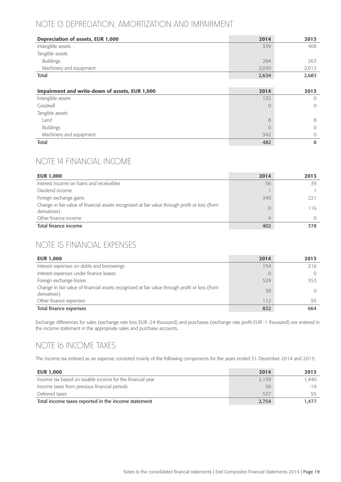### NOTE 13 DEPRECIATION, AMORTIZATION AND IMPAIRMENT

| <b>Depreciation of assets, EUR 1,000</b>       | 2014       | 2013     |
|------------------------------------------------|------------|----------|
| Intangible assets                              | 339        | 408      |
| Tangible assets                                |            |          |
| <b>Buildings</b>                               | 264        | 263      |
| Machinery and equipment                        | 2,030      | 2,012    |
| Total                                          | 2,634      | 2,683    |
|                                                |            |          |
| Impairment and write-down of assets, EUR 1,000 | 2014       | 2013     |
|                                                |            |          |
| Intangible assets                              | 132        | $\circ$  |
| Goodwill                                       | $\bigcirc$ | $\circ$  |
| Tangible assets                                |            |          |
| Land                                           | 8          | 8        |
| <b>Buildings</b>                               | $\bigcirc$ | $\Omega$ |

Total 482 8

### NOTE 14 FINANCIAL INCOME

| <b>EUR 1,000</b>                                                                                               | 2014 | 2013 |
|----------------------------------------------------------------------------------------------------------------|------|------|
| Interest income on loans and receivables                                                                       | 56   | 39   |
| Dividend income                                                                                                |      |      |
| Foreign exchange gains                                                                                         | 340  | 22   |
| Change in fair value of financial assets recognized at fair value through profit or loss (from<br>derivatives) |      | 116  |
| Other finance income                                                                                           | 4    |      |
| Total finance income                                                                                           | 402  | 378  |

### NOTE 15 FINANCIAL EXPENSES

| <b>EUR 1,000</b>                                                                                               | 2014 | 2013 |
|----------------------------------------------------------------------------------------------------------------|------|------|
| Interest expenses on debts and borrowings                                                                      | 154  | 216  |
| Interest expenses under finance leases                                                                         |      |      |
| Foreign exchange losses                                                                                        | 529  | 353  |
| Change in fair value of financial assets recognized at fair value through profit or loss (from<br>derivatives) | 38   |      |
| Other finance expenses                                                                                         | 112  | 95   |
| Total finance expenses                                                                                         | 832  | 664  |

Exchange differences for sales (exchange rate loss EUR -24 thousand) and purchases (exchange rate profit EUR -1 thousand) are entered in the income statement in the appropriate sales and purchase accounts.

### NOTE 16 INCOME TAXES

The income tax entered as an expense consisted mainly of the following components for the years ended 31 December 2014 and 2013:

| <b>EUR 1,000</b>                                          | 2014  | 2013  |
|-----------------------------------------------------------|-------|-------|
| Income tax based on taxable income for the financial year | 2.159 | .44C  |
| Income taxes from previous financial periods              | 58    | $-1c$ |
| Deferred taxes                                            | 537   | 55    |

Total income taxes reported in the income statement 2,754 1,477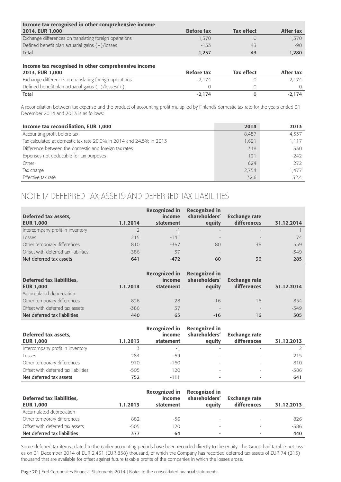| Income tax recognised in other comprehensive income                    |                   |                   |           |
|------------------------------------------------------------------------|-------------------|-------------------|-----------|
| 2014, EUR 1,000                                                        | <b>Before tax</b> | <b>Tax effect</b> | After tax |
| Exchange differences on translating foreign operations                 | 1,370             | $\left( \right)$  | 1,370     |
| Defined benefit plan actuarial gains (+)/losses                        | $-133$            | 43                | $-90$     |
| Total                                                                  | 1.237             | 43                | 1,280     |
| Income tax recognised in other comprehensive income<br>2013, EUR 1,000 | <b>Before tax</b> | <b>Tax effect</b> | After tax |
| Exchange differences on translating foreign operations                 | $-2,174$          | $\bigcirc$        | $-2.174$  |
| Defined benefit plan actuarial gains $(+)/$ losses $(+)$               | 0                 |                   |           |
| Total                                                                  | $-2.174$          | 0                 | $-2.174$  |

A reconciliation between tax expense and the product of accounting profit multiplied by Finland's domestic tax rate for the years ended 31 December 2014 and 2013 is as follows:

| Income tax reconciliation, EUR 1,000                                | 2014  | 2013   |
|---------------------------------------------------------------------|-------|--------|
| Accounting profit before tax                                        | 8,457 | 4,557  |
| Tax calculated at domestic tax rate 20,0% in 2014 and 24.5% in 2013 | 1,691 | 1,117  |
| Difference between the domestic and foreign tax rates               | 318   | 330    |
| Expenses not deductible for tax purposes                            | 121   | $-242$ |
| Other                                                               | 624   | 272    |
| Tax charge                                                          | 2,754 | 1.477  |
| Effective tax rate                                                  | 32.6  | 32.4   |

### NOTE 17 DEFERRED TAX ASSETS AND DEFERRED TAX LIABILITIES

| Deferred tax assets,<br><b>EUR 1,000</b> | 1.1.2014 | <b>Recognized in</b><br>income<br>statement | Recognized in<br>shareholders'<br>equity | <b>Exchange rate</b><br>differences | 31.12.2014 |
|------------------------------------------|----------|---------------------------------------------|------------------------------------------|-------------------------------------|------------|
| Intercompany profit in inventory         |          | $\overline{\phantom{a}}$                    | $\overline{\phantom{a}}$                 |                                     |            |
| Losses                                   | 215      | $-141$                                      | $\overline{\phantom{m}}$                 |                                     | 74         |
| Other temporary differences              | 810      | $-367$                                      | 80                                       | 36                                  | 559        |
| Offset with deferred tax liabilities     | $-386$   | 37                                          | $\qquad \qquad -$                        |                                     | $-349$     |
| Net deferred tax assets                  | 641      | $-472$                                      | 80                                       | 36                                  | 285        |

| Deferred tax liabilities,<br><b>EUR 1,000</b> | 1.1.2014 | <b>Recognized in</b><br>income<br>statement | Recognized in<br>shareholders'<br>equity | <b>Exchange rate</b><br>differences | 31.12.2014 |
|-----------------------------------------------|----------|---------------------------------------------|------------------------------------------|-------------------------------------|------------|
| Accumulated depreciation                      |          |                                             |                                          |                                     |            |
| Other temporary differences                   | 826      | 28                                          | $-16$                                    | 16                                  | 854        |
| Offset with deferred tax assets               | $-386$   | 37                                          | $\overline{\phantom{a}}$                 |                                     | $-349$     |
| Net deferred tax liabilities                  | 440      | 65                                          | $-16$                                    | 16                                  | 505        |

| Deferred tax assets,<br><b>EUR 1,000</b> | 1.1.2013 | <b>Recognized in</b><br>income<br>statement | Recognized in<br>shareholders'<br>equity | <b>Exchange rate</b><br>differences | 31.12.2013 |
|------------------------------------------|----------|---------------------------------------------|------------------------------------------|-------------------------------------|------------|
| Intercompany profit in inventory         |          | - 1                                         | $\overline{\phantom{a}}$                 |                                     |            |
| Losses                                   | 284      | $-69$                                       | $\overline{\phantom{a}}$                 |                                     | 215        |
| Other temporary differences              | 970      | $-160$                                      | $\overline{\phantom{a}}$                 | $\overline{\phantom{a}}$            | 810        |
| Offset with deferred tax liabilities     | $-505$   | 120                                         | $\overline{\phantom{a}}$                 |                                     | $-386$     |
| Net deferred tax assets                  | 752      | $-111$                                      | $\overline{\phantom{0}}$                 |                                     | 641        |

| Deferred tax liabilities,<br><b>EUR 1,000</b> | 1.1.2013 | Recognized in<br>income<br>statement | Recognized in<br>shareholders'<br>eauity | <b>Exchange rate</b><br>differences | 31.12.2013 |
|-----------------------------------------------|----------|--------------------------------------|------------------------------------------|-------------------------------------|------------|
| Accumulated depreciation                      |          |                                      |                                          |                                     |            |
| Other temporary differences                   | 882      | -56                                  | $\overline{\phantom{a}}$                 |                                     | 826        |
| Offset with deferred tax assets               | $-505$   | 120                                  | $\overline{\phantom{a}}$                 |                                     | $-386$     |
| Net deferred tax liabilities                  | 377      | 64                                   | ۰                                        | -                                   | 440        |

Some deferred tax items related to the earlier accounting periods have been recorded directly to the equity. The Group had taxable net losses on 31 December 2014 of EUR 2,431 (EUR 858) thousand, of which the Company has recorded deferred tax assets of EUR 74 (215) thousand that are available for offset against future taxable profits of the companies in which the losses arose.

Page 20 | Exel Composites Financial Statements 2014 | Notes to the consolidated financial statements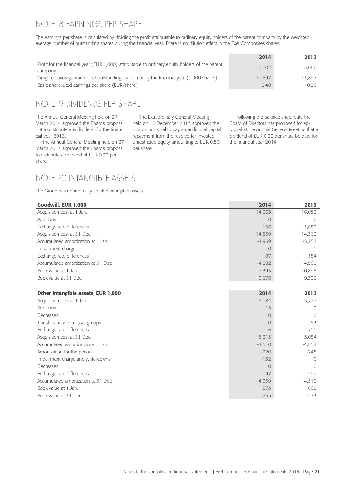### NOTE 18 EARNINGS PER SHARE

The earnings per share is calculated by dividing the profit attributable to ordinary equity holders of the parent company by the weighted average number of outstanding shares during the financial year. There is no dilution effect in the Exel Composites shares.

|                                                                                                            | 2014   | 2013  |
|------------------------------------------------------------------------------------------------------------|--------|-------|
| Profit for the financial year (EUR 1,000) attributable to ordinary equity holders of the parent<br>company | 5,702  | 3,080 |
| Weighted average number of outstanding shares during the financial year (1,000 shares)                     | 11.897 | 1.897 |
| Basic and diluted earnings per share (EUR/share)                                                           | 0.48   | 0.26  |

### NOTE 19 DIVIDENDS PER SHARE

The Annual General Meeting held on 27 March 2014 approved the Board's proposal not to distribute any dividend for the financial year 2013.

The Annual General Meeting held on 27 March 2013 approved the Board's proposal to distribute a dividend of EUR 0.30 per share.

The Extraordinary General Meeting held on 10 December 2013 approved the Board's proposal to pay an additional capital repayment from the reserve for invested unrestricted equity amounting to EUR 0.50 per share.

Following the balance sheet date the Board of Directors has proposed for approval at the Annual General Meeting that a dividend of EUR 0.20 per share be paid for the financial year 2014.

### NOTE 20 INTANGIBLE ASSETS

The Group has no internally created intangible assets.

| Goodwill, EUR 1,000                 | 2014      | 2013      |
|-------------------------------------|-----------|-----------|
| Acquisition cost at 1 Jan.          | 14,363    | 16,052    |
| <b>Additions</b>                    | $\bigcap$ | $\bigcap$ |
| Exchange rate differences           | 196       | $-1,689$  |
| Acquisition cost at 31 Dec.         | 14,559    | 14,363    |
| Accumulated amortization at 1 Jan.  | $-4,969$  | $-5,154$  |
| Impairment charge                   | $\Omega$  | $\Omega$  |
| Exchange rate differences           | 87        | 184       |
| Accumulated amortization at 31 Dec. | $-4,882$  | $-4,969$  |
| Book value at 1 Jan.                | 9,393     | 10,898    |
| Book value at 31 Dec.               | 9,676     | 9,393     |
|                                     |           |           |
| Other intangible assets, EUR 1,000  | 2014      | 2013      |
| Acquisition cost at 1 Jan.          | 5,084     | 5,722     |
| <b>Additions</b>                    | 15        | 9         |
| Decreases                           | $\bigcap$ | $\bigcap$ |
| Transfers between asset groups      | $\bigcap$ | 53        |
| Exchange rate differences           | 116       | $-700$    |
| Acquisition cost at 31 Dec.         | 5,215     | 5,084     |
| Accumulated amortization at 1 Jan.  | $-4,510$  | $-4,854$  |
| Amortization for the period         | $-220$    | $-248$    |
| Impairment charge and write-downs   | $-132$    | 0         |

| impainment charge and write about   | $\sim$ $\sim$ |           |
|-------------------------------------|---------------|-----------|
| Decreases                           |               | $\bigcap$ |
| Exchange rate differences           | $-97$         | 592       |
| Accumulated amortization at 31 Dec. | $-4.959$      | $-4.510$  |
| Book value at 1 Jan.                | 573           | 868       |
| Book value at 31 Dec.               | 255           | 573       |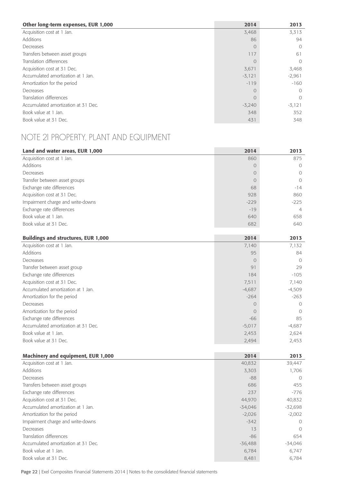| Other long-term expenses, EUR 1,000 | 2014           | 2013     |
|-------------------------------------|----------------|----------|
| Acquisition cost at 1 Jan.          | 3,468          | 3,313    |
| <b>Additions</b>                    | 86             | 94       |
| Decreases                           | 0              | $\circ$  |
| Transfers between asset groups      | 117            | 61       |
| Translation differences             | $\Omega$       | $\Omega$ |
| Acquisition cost at 31 Dec.         | 3,671          | 3,468    |
| Accumulated amortization at 1 Jan.  | $-3,121$       | $-2,961$ |
| Amortization for the period         | $-119$         | $-160$   |
| Decreases                           | $\Omega$       | $\circ$  |
| Translation differences             | $\overline{0}$ | $\circ$  |
| Accumulated amortization at 31 Dec. | $-3,240$       | $-3,121$ |
| Book value at 1 Jan.                | 348            | 352      |
| Book value at 31 Dec.               | 431            | 348      |
|                                     |                |          |

### NOTE 21 PROPERTY, PLANT AND EQUIPMENT

| Land and water areas, EUR 1,000                                         | 2014      | 2013           |
|-------------------------------------------------------------------------|-----------|----------------|
| Acquisition cost at 1 Jan.                                              | 860       | 875            |
| Additions                                                               | $\circ$   | $\circ$        |
| Decreases                                                               | $\circ$   | 0              |
| Transfer between asset groups                                           | $\circ$   | $\circ$        |
| Exchange rate differences                                               | 68        | $-14$          |
| Acquisition cost at 31 Dec.                                             | 928       | 860            |
| Impairment charge and write-downs                                       | $-229$    | $-225$         |
| Exchange rate differences                                               | $-19$     | $\overline{4}$ |
| Book value at 1 Jan.                                                    | 640       | 658            |
| Book value at 31 Dec.                                                   | 682       | 640            |
| <b>Buildings and structures, EUR 1,000</b>                              | 2014      | 2013           |
| Acquisition cost at 1 Jan.                                              | 7,140     | 7,132          |
| Additions                                                               | 95        | 84             |
| Decreases                                                               | $\circ$   | $\circ$        |
| Transfer between asset group                                            | 91        | 29             |
| Exchange rate differences                                               | 184       | $-105$         |
| Acquisition cost at 31 Dec.                                             | 7,511     | 7,140          |
| Accumulated amortization at 1 Jan.                                      | $-4,687$  | $-4,509$       |
| Amortization for the period                                             | $-264$    | $-263$         |
| Decreases                                                               | $\Omega$  | $\bigcirc$     |
| Amortization for the period                                             | $\Omega$  | $\Omega$       |
| Exchange rate differences                                               | $-66$     | 85             |
| Accumulated amortization at 31 Dec.                                     | $-5,017$  | $-4,687$       |
| Book value at 1 Jan.                                                    | 2,453     | 2,624          |
| Book value at 31 Dec.                                                   | 2,494     | 2,453          |
|                                                                         | 2014      | 2013           |
| <b>Machinery and equipment, EUR 1,000</b><br>Acquisition cost at 1 Jan. | 40,832    | 39,447         |
| Additions                                                               | 3,303     | 1,706          |
| Decreases                                                               | $-88$     | $\bigcirc$     |
| Transfers between asset groups                                          | 686       | 455            |
| Exchange rate differences                                               | 237       | $-776$         |
| Acquisition cost at 31 Dec.                                             | 44,970    | 40,832         |
|                                                                         |           |                |
| Accumulated amortization at 1 Jan.<br>Amortization for the period       | $-34,046$ | $-32,698$      |
|                                                                         | $-2,026$  | $-2,002$       |
| Impairment charge and write-downs                                       | $-342$    | $\Omega$       |
| Decreases<br>Translation differences                                    | 13        | $\bigcirc$     |
| Accumulated amortization at 31 Dec.                                     | $-86$     | 654            |
|                                                                         | $-36,488$ | $-34,046$      |
| Book value at 1 Jan.                                                    | 6,784     | 6,747          |

Book value at 31 Dec. 6,784

Page 22 | Exel Composites Financial Statements 2014 | Notes to the consolidated financial statements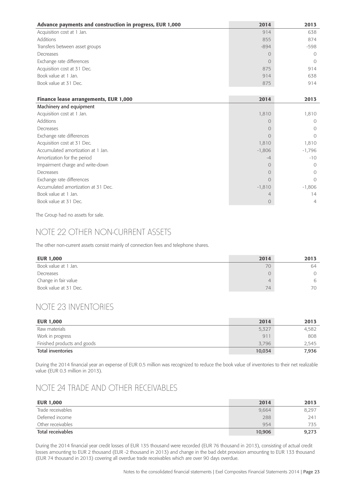| Advance payments and construction in progress, EUR 1,000 | 2014   | 2013   |
|----------------------------------------------------------|--------|--------|
| Acquisition cost at 1 Jan.                               | 914    | 638    |
| <b>Additions</b>                                         | 855    | 874    |
| Transfers between asset groups                           | $-894$ | $-598$ |
| Decreases                                                |        |        |
| Exchange rate differences                                |        |        |
| Acquisition cost at 31 Dec.                              | 875    | 914    |
| Book value at 1 Jan.                                     | 914    | 638    |
| Book value at 31 Dec.                                    | 875    | 914    |

| Finance lease arrangements, EUR 1,000 | 2014     | 2013       |
|---------------------------------------|----------|------------|
| Machinery and equipment               |          |            |
| Acquisition cost at 1 Jan.            | 1,810    | 1,810      |
| <b>Additions</b>                      | 0        | $\bigcirc$ |
| Decreases                             | Ω        | $\bigcap$  |
| Exchange rate differences             | Ω        | $\Omega$   |
| Acquisition cost at 31 Dec.           | 1,810    | 1,810      |
| Accumulated amortization at 1 Jan.    | $-1,806$ | $-1,796$   |
| Amortization for the period           | $-4$     | $-10$      |
| Impairment charge and write-down      |          | $\bigcap$  |
| Decreases                             |          | $\bigcap$  |
| Exchange rate differences             |          | $\bigcap$  |
| Accumulated amortization at 31 Dec.   | $-1,810$ | $-1,806$   |
| Book value at 1 Jan.                  | 4        | 14         |
| Book value at 31 Dec.                 | 0        | 4          |

The Group had no assets for sale.

### NOTE 22 OTHER NON-CURRENT ASSETS

The other non-current assets consist mainly of connection fees and telephone shares.

| <b>EUR 1,000</b>      | 2014 | 2013 |
|-----------------------|------|------|
| Book value at 1 Jan.  | 70   | 64   |
| Decreases             |      |      |
| Change in fair value  | 4    | 6    |
| Book value at 31 Dec. | 74   | 70   |

### NOTE 23 INVENTORIES

| <b>EUR 1,000</b>            | 2014   | 2013  |
|-----------------------------|--------|-------|
| Raw materials               | 5,327  | 4,582 |
| Work in progress            | 911    | 808   |
| Finished products and goods | 3.796  | 2.545 |
| Total inventories           | 10,034 | 7.936 |

During the 2014 financial year an expense of EUR 0.5 million was recognized to reduce the book value of inventories to their net realizable value (EUR 0.3 million in 2013).

### NOTE 24 TRADE AND OTHER RECEIVABLES

| <b>EUR 1,000</b>  | 2014   | 2013  |
|-------------------|--------|-------|
| Trade receivables | 9,664  | 8,297 |
| Deferred income   | 288    | 241   |
| Other receivables | 954    | 735   |
| Total receivables | 10,906 | 9,273 |

During the 2014 financial year credit losses of EUR 135 thousand were recorded (EUR 76 thousand in 2013), consisting of actual credit losses amounting to EUR 2 thousand (EUR -2 thousand in 2013) and change in the bad debt provision amounting to EUR 133 thousand (EUR 74 thousand in 2013) covering all overdue trade receivables which are over 90 days overdue.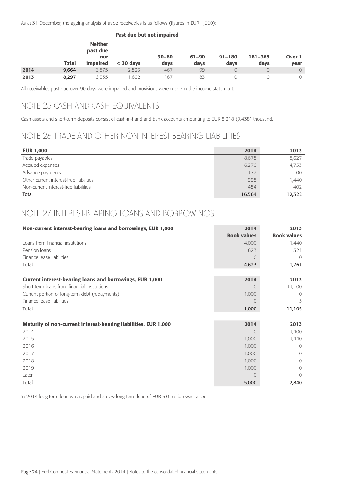As at 31 December, the ageing analysis of trade receivables is as follows (figures in EUR 1,000):

### Past due but not impaired

|      |       | <b>Neither</b><br>past due<br>nor |             | $30 - 60$ | $61 - 90$ | $91 - 180$ | $181 - 365$ | Over 1 |
|------|-------|-----------------------------------|-------------|-----------|-----------|------------|-------------|--------|
|      | Total | impaired                          | $<$ 30 days | davs      | davs      | davs       | davs        | vear   |
| 2014 | 9,664 | 6,575                             | 2,523       | 467       | 99        |            |             |        |
| 2013 | 8,297 | 6,355                             | .692        | 167       | 83        |            |             |        |

All receivables past due over 90 days were impaired and provisions were made in the income statement.

### NOTE 25 CASH AND CASH EQUIVALENTS

Cash assets and short-term deposits consist of cash-in-hand and bank accounts amounting to EUR 8,218 (9,438) thousand.

### NOTE 26 TRADE AND OTHER NON-INTEREST-BEARING LIABILITIES

| <b>EUR 1,000</b>                        | 2014   | 2013   |
|-----------------------------------------|--------|--------|
| Trade payables                          | 8,675  | 5,627  |
| Accrued expenses                        | 6,270  | 4,753  |
| Advance payments                        | 172    | 100    |
| Other current interest-free liabilities | 995    | 1.440  |
| Non-current interest-free liabilities   | 454    | 402    |
| Total                                   | 16,564 | 12.322 |

### NOTE 27 INTEREST-BEARING LOANS AND BORROWINGS

| Non-current interest-bearing loans and borrowings, EUR 1,000    | 2014               | 2013               |
|-----------------------------------------------------------------|--------------------|--------------------|
|                                                                 | <b>Book values</b> | <b>Book values</b> |
| Loans from financial institutions                               | 4,000              | 1,440              |
| Pension loans                                                   | 623                | 321                |
| Finance lease liabilities                                       | $\bigcap$          | $\Omega$           |
| Total                                                           | 4,623              | 1,761              |
|                                                                 |                    |                    |
| <b>Current interest-bearing loans and borrowings, EUR 1,000</b> | 2014               | 2013               |
| Short-term loans from financial institutions                    | $\Omega$           | 11,100             |
| Current portion of long-term debt (repayments)                  | 1,000              | $\bigcirc$         |
| Finance lease liabilities                                       | $\Omega$           | 5                  |
| Total                                                           | 1,000              | 11,105             |
|                                                                 |                    |                    |
| Maturity of non-current interest-bearing liabilities, EUR 1,000 | 2014               | 2013               |
| 2014                                                            | $\Omega$           | 1,400              |
| 2015                                                            | 1,000              | 1,440              |
| 2016                                                            | 1,000              | $\Omega$           |
| 2017                                                            | 1,000              | $\bigcap$          |
| 2018                                                            | 1,000              | $\bigcap$          |
| 2019                                                            | 1,000              | $\Omega$           |
| Later                                                           | 0                  | $\circ$            |
| Total                                                           | 5,000              | 2,840              |

In 2014 long-term loan was repaid and a new long-term loan of EUR 5.0 million was raised.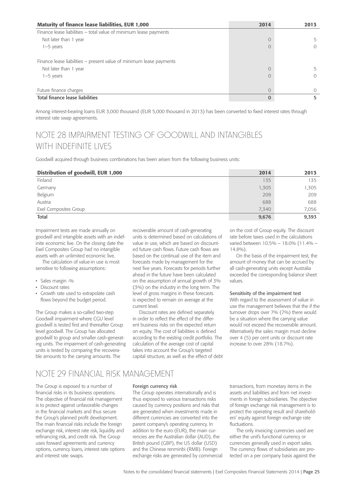| <b>Maturity of finance lease liabilities, EUR 1,000</b>             | 2014        | 2013      |
|---------------------------------------------------------------------|-------------|-----------|
| Finance lease liabilities - total value of minimum lease payments   |             |           |
| Not later than 1 year                                               |             | 5.        |
| $1-5$ years                                                         |             | $\Omega$  |
| Finance lease liabilities - present value of minimum lease payments |             |           |
| Not later than 1 year                                               |             | 5         |
| $1-5$ years                                                         |             | $\bigcap$ |
| Future finance charges                                              | $\Omega$    | $\bigcap$ |
| Total finance lease liabilities                                     | $\mathbf 0$ | 5         |

Among interest-bearing loans EUR 3,000 thousand (EUR 5,000 thousand in 2013) has been converted to fixed interest rates through interest rate swap agreements.

### NOTE 28 IMPAIRMENT TESTING OF GOODWILL AND INTANGIBLES WITH INDEFINITE LIVES

Goodwill acquired through business combinations has been arisen from the following business units:

| Distribution of goodwill, EUR 1,000 | 2014  | 2013  |
|-------------------------------------|-------|-------|
| Finland                             | 135   | 135   |
| Germany                             | 1,305 | 1,305 |
| Belgium                             | 209   | 209   |
| Austria                             | 688   | 688   |
| Exel Composites Group               | 7,340 | 7,056 |
| Total                               | 9,676 | 9,393 |

Impairment tests are made annually on goodwill and intangible assets with an indefinite economic live. On the closing date the Exel Composites Group had no intangible assets with an unlimited economic live.

The calculation of value-in use is most sensitive to following assumptions:

- Sales margin -%
- Discount rates
- Growth rate used to extrapolate cash flows beyond the budget period.

The Group makes a so-called two-step Goodwill impairment where CGU level goodwill is tested first and thereafter Group level goodwill. The Group has allocated goodwill to group and smaller cash-generating units. The impairment of cash-generating units is tested by comparing the recoverable amounts to the carrying amounts. The

recoverable amount of cash-generating units is determined based on calculations of value in use, which are based on discounted future cash flows. Future cash flows are based on the continual use of the item and forecasts made by management for the next five years. Forecasts for periods further ahead in the future have been calculated on the assumption of annual growth of 3% (3%) on the industry in the long term. The level of gross margins in these forecasts is expected to remain on average at the current level.

Discount rates are defined separately in order to reflect the effect of the different business risks on the expected return on equity. The cost of liabilities is defined according to the existing credit portfolio. The calculation of the average cost of capital takes into account the Group's targeted capital structure, as well as the effect of debt on the cost of Group equity. The discount rate before taxes used in the calculations varied between 10.5% – 18.0% (11.4% – 14.8%).

On the basis of the impairment test, the amount of money that can be accrued by all cash-generating units except Australia exceeded the corresponding balance sheet values.

### Sensitivity of the impairment test

With regard to the assessment of value in use the management believes that the if the turnover drops over 7% (7%) there would be a situation where the carrying value would not exceed the recoverable amount. Alternatively the sales margin must decline over 4 (5) per cent units or discount rate increase to over 28% (18.7%).

### NOTE 29 FINANCIAL RISK MANAGEMENT

The Group is exposed to a number of financial risks in its business operations. The objective of financial risk management is to protect against unfavorable changes in the financial markets and thus secure the Group's planned profit development. The main financial risks include the foreign exchange risk, interest rate risk, liquidity and refinancing risk, and credit risk. The Group uses forward agreements and currency options, currency loans, interest rate options and interest rate swaps.

### Foreign currency risk

The Group operates internationally and is thus exposed to various transactions risks caused by currency positions and risks that are generated when investments made in different currencies are converted into the parent company's operating currency. In addition to the euro (EUR), the main currencies are the Australian dollar (AUD), the British pound (GBP), the US dollar (USD) and the Chinese renminbi (RMB). Foreign exchange risks are generated by commercial transactions, from monetary items in the assets and liabilities and from net investments in foreign subsidiaries. The objective of foreign exchange risk management is to protect the operating result and shareholders' equity against foreign exchange rate fluctuations.

The only invoicing currencies used are either the unit's functional currency or currencies generally used in export sales. The currency flows of subsidiaries are protected on a per company basis against the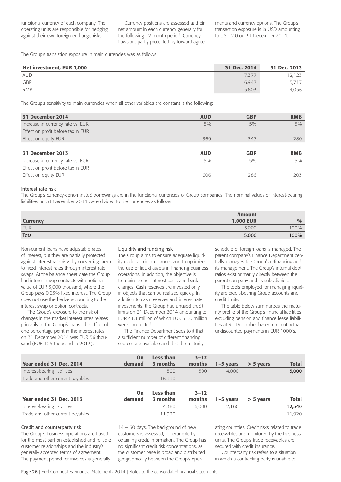Currency positions are assessed at their net amount in each currency generally for the following 12-month period. Currency flows are partly protected by forward agreements and currency options. The Group's transaction exposure is in USD amounting to USD 2.0 on 31 December 2014.

The Group's translation exposure in main currencies was as follows:

| Net investment, EUR 1,000 | 31 Dec. 2014 | 31 Dec. 2013 |
|---------------------------|--------------|--------------|
| <b>AUD</b>                | 7.377        | 12,123       |
| <b>GBP</b>                | 6.947        | 5.717        |
| RMB                       | 5,603        | 4,056        |

The Group's sensitivity to main currencies when all other variables are constant is the following:

| 31 December 2014                   | <b>AUD</b> | <b>GBP</b> | <b>RMB</b> |
|------------------------------------|------------|------------|------------|
| Increase in currency rate vs. EUR  | $5\%$      | $5\%$      | $5\%$      |
| Effect on profit before tax in EUR |            |            |            |
| Effect on equity EUR               | 369        | 347        | 280        |
|                                    |            |            |            |
| <b>31 December 2013</b>            | <b>AUD</b> | <b>GBP</b> | <b>RMB</b> |
| Increase in currency rate vs. EUR  | 5%         | $5\%$      | $5\%$      |
| Effect on profit before tax in EUR |            |            |            |
| Effect on equity EUR               | 606        | 286        | 203        |

#### Interest rate risk

The Group's currency-denominated borrowings are in the functional currencies of Group companies. The nominal values of interest-bearing liabilities on 31 December 2014 were divided to the currencies as follows:

|                 | <b>Amount</b>    |               |
|-----------------|------------------|---------------|
| <b>Currency</b> | <b>1,000 EUR</b> | $\frac{0}{0}$ |
| <b>EUR</b>      | 5,000            | 100%          |
| Total           | 5,000            | 100%          |

Non-current loans have adjustable rates of interest, but they are partially protected against interest rate risks by converting them to fixed interest rates through interest rate swaps. At the balance sheet date the Group had interest swap contracts with notional value of EUR 3,000 thousand, where the Group pays 0,63% fixed interest. The Group does not use the hedge accounting to the interest swap or option contracts.

The Group's exposure to the risk of changes in the market interest rates relates primarily to the Group's loans. The effect of one percentage point in the interest rates on 31 December 2014 was EUR 56 thousand (EUR 125 thousand in 2013).

### Liquidity and funding risk

The Group aims to ensure adequate liquidity under all circumstances and to optimize the use of liquid assets in financing business operations. In addition, the objective is to minimize net interest costs and bank charges. Cash reserves are invested only in objects that can be realized quickly. In addition to cash reserves and interest rate investments, the Group had unused credit limits on 31 December 2014 amounting to EUR 41.1 million of which EUR 31.0 million were committed.

The Finance Department sees to it that a sufficient number of different financing sources are available and that the maturity

schedule of foreign loans is managed. The parent company's Finance Department centrally manages the Group's refinancing and its management. The Group's internal debt ratios exist primarily directly between the parent company and its subsidiaries.

The tools employed for managing liquidity are credit-bearing Group accounts and credit limits.

The table below summarizes the maturity profile of the Group's financial liabilities excluding pension and finance lease liabilities at 31 December based on contractual undiscounted payments in EUR 1000´s.

| Year ended 31 Dec. 2014                                                   | On<br>demand | Less than<br>3 months                  | $3 - 12$<br>months                    | $1-5$ years                                                                                                                                                                                                                          | $> 5$ years                | <b>Total</b> |
|---------------------------------------------------------------------------|--------------|----------------------------------------|---------------------------------------|--------------------------------------------------------------------------------------------------------------------------------------------------------------------------------------------------------------------------------------|----------------------------|--------------|
| Interest-bearing liabilities                                              |              | 500                                    | 500                                   | 4.000                                                                                                                                                                                                                                |                            | 5,000        |
| Trade and other current payables                                          |              | 16.110                                 |                                       |                                                                                                                                                                                                                                      |                            |              |
| $V_{\text{max}}$ and $\overline{v}$ and $\overline{v}$ and $\overline{v}$ | On           | Less than<br>المستحدث فالمستحث المتحدث | $3 - 12$<br>المستقالة ومستورة والمحاف | <b>Contract Contract Contract Contract Contract Contract Contract Contract Contract Contract Contract Contract Contract Contract Contract Contract Contract Contract Contract Contract Contract Contract Contract Contract Contr</b> | <b>All Property States</b> | ティエード        |

| Year ended 31 Dec. 2013          | demand | 3 months |       | months $1-5$ years $> 5$ years | Total  |
|----------------------------------|--------|----------|-------|--------------------------------|--------|
| Interest-bearing liabilities     |        | 4.380    | 6.000 | 2.160                          | 12,540 |
| Trade and other current payables |        | 1,920    |       |                                | 11,920 |

### Credit and counterparty risk

The Group's business operations are based for the most part on established and reliable customer relationships and the industry's generally accepted terms of agreement. The payment period for invoices is generally

14 – 60 days. The background of new customers is assessed, for example by obtaining credit information. The Group has no significant credit risk concentrations, as the customer base is broad and distributed geographically between the Group's operating countries. Credit risks related to trade receivables are monitored by the business units. The Group's trade receivables are secured with credit insurance.

Counterparty risk refers to a situation in which a contracting party is unable to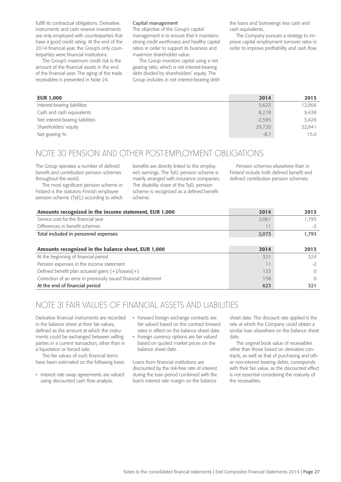fulfill its contractual obligations. Derivative instruments and cash reserve investments are only employed with counterparties that have a good credit rating. At the end of the 2014 financial year, the Group's only counterparties were financial institutions.

The Group's maximum credit risk is the amount of the financial assets in the end of the financial year. The aging of the trade receivables is presented in Note 24.

### Capital management

The objective of the Group's capital

management is to ensure that it maintains strong credit worthiness and healthy capital ratios in order to support its business and maximize shareholder value.

The Group monitors capital using a net gearing ratio, which is net interest-bearing debt divided by shareholders' equity. The Group includes in net interest-bearing debt the loans and borrowings less cash and cash equivalents.

The Company pursues a strategy to improve capital employment turnover rates in order to improve profitability and cash flow.

| Interest-bearing liabilities<br>5,623        | 12,866 |
|----------------------------------------------|--------|
| Cash and cash equivalents<br>8,218           | 9,438  |
| Net interest-bearing liabilities<br>$-2,595$ | 3,428  |
| Shareholders' equity<br>29,720               | 22,841 |
| Net gearing %<br>$-8.7$                      | 15.0   |

### NOTE 30 PENSION AND OTHER POST-EMPLOYMENT OBLIGATIONS

The Group operates a number of defined benefit and contribution pension schemes throughout the world.

The most significant pension scheme in Finland is the statutory Finnish employee pension scheme (TyEL) according to which benefits are directly linked to the employee's earnings. The TyEL pension scheme is mainly arranged with insurance companies. The disability share of the TyEL pension scheme is recognized as a defined benefit scheme.

Pension schemes elsewhere than in Finland include both defined benefit and defined contribution pension schemes.

| Amounts recognized in the income statement, EUR 1,000           | 2014  | 2013      |
|-----------------------------------------------------------------|-------|-----------|
| Service cost for the financial year                             | 2,061 | 1.795     |
| Differences in benefit schemes                                  |       | $-2$      |
| Total included in personnel expenses                            | 2,073 | 1,793     |
|                                                                 |       |           |
| Amounts recognized in the balance sheet, EUR 1,000              | 2014  | 2013      |
| At the beginning of financial period                            | 321   | 324       |
| Pension expenses in the income statement                        |       | $-2$      |
| Defined benefit plan actuarial gains (+)/losses(+)              | 133   | $\bigcap$ |
| Correction of an error in previously issued financial statement | 158   |           |
| At the end of financial period                                  | 623   | 321       |

### NOTE 31 FAIR VALUES OF FINANCIAL ASSETS AND LIABILITIES

Derivative financial instruments are recorded in the balance sheet at their fair values, defined as the amount at which the instruments could be exchanged between willing parties in a current transaction, other than in a liquidation or forced sale.

The fair values of such financial items have been estimated on the following basis:

- Interest rate swap agreements are valued using discounted cash flow analysis.
- Forward foreign exchange contracts are fair valued based on the contract forward rates in effect on the balance sheet date.
- Foreign currency options are fair valued based on quoted market prices on the balance sheet date.

Loans from financial institutions are discounted by the risk-free rate of interest during the loan period combined with the loan's interest rate margin on the balance

sheet date. The discount rate applied is the rate at which the Company could obtain a similar loan elsewhere on the balance sheet date.

The original book value of receivables other than those based on derivative contracts, as well as that of purchasing and other non-interest bearing debts, corresponds with their fair value, as the discounted effect is not essential considering the maturity of the receivables.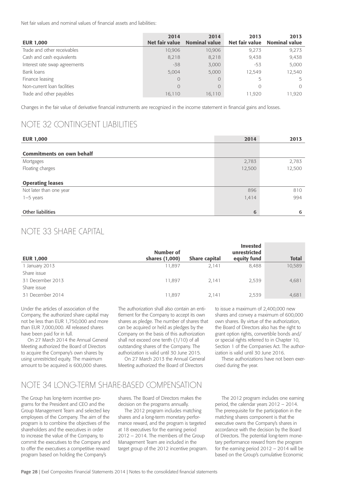Net fair values and nominal values of financial assets and liabilities:

| <b>EUR 1,000</b>              | 2014<br>Net fair value | 2014<br><b>Nominal value</b> | 2013   | 2013<br>Net fair value Nominal value |
|-------------------------------|------------------------|------------------------------|--------|--------------------------------------|
| Trade and other receivables   | 10,906                 | 10,906                       | 9,273  | 9,273                                |
| Cash and cash equivalents     | 8,218                  | 8,218                        | 9,438  | 9,438                                |
| Interest rate swap agreements | $-38$                  | 3,000                        | $-53$  | 5,000                                |
| Bank loans                    | 5,004                  | 5,000                        | 12,549 | 12,540                               |
| Finance leasing               | $\Omega$               | $\Omega$                     |        | 5                                    |
| Non-current loan facilities   |                        |                              |        | $\Omega$                             |
| Trade and other payables      | 16,110                 | 16.110                       | 11.920 | 1.920                                |

Changes in the fair value of derivative financial instruments are recognized in the income statement in financial gains and losses.

### NOTE 32 CONTINGENT LIABILITIES

| <b>EUR 1,000</b>                 | 2014   | 2013   |
|----------------------------------|--------|--------|
|                                  |        |        |
| <b>Commitments on own behalf</b> |        |        |
| Mortgages                        | 2,783  | 2,783  |
| Floating charges                 | 12,500 | 12,500 |
|                                  |        |        |
| <b>Operating leases</b>          |        |        |
| Not later than one year          | 896    | 810    |
| $1-5$ years                      | 1,414  | 994    |
|                                  |        |        |
| Other liabilities                | 6      | 6      |

### NOTE 33 SHARE CAPITAL

| <b>EUR 1,000</b> | Number of<br>shares (1,000) | <b>Share capital</b> | <b>Invested</b><br>unrestricted<br>equity fund | <b>Total</b> |
|------------------|-----------------------------|----------------------|------------------------------------------------|--------------|
| 1 January 2013   | 11,897                      | 2,141                | 8,488                                          | 10,589       |
| Share issue      |                             |                      |                                                |              |
| 31 December 2013 | 11,897                      | 2.141                | 2,539                                          | 4,681        |
| Share issue      |                             |                      |                                                |              |
| 31 December 2014 | 11,897                      | 2.141                | 2,539                                          | 4,681        |

Under the articles of association of the Company, the authorized share capital may not be less than EUR 1,750,000 and more than EUR 7,000,000. All released shares have been paid for in full.

On 27 March 2014 the Annual General Meeting authorized the Board of Directors to acquire the Company's own shares by using unrestricted equity. The maximum amount to be acquired is 600,000 shares.

The authorization shall also contain an entitlement for the Company to accept its own shares as pledge. The number of shares that can be acquired or held as pledges by the Company on the basis of this authorization shall not exceed one tenth (1/10) of all outstanding shares of the Company. The authorization is valid until 30 June 2015.

On 27 March 2013 the Annual General Meeting authorized the Board of Directors

to issue a maximum of 2,400,000 new shares and convey a maximum of 600,000 own shares. By virtue of the authorization, the Board of Directors also has the right to grant option rights, convertible bonds and/ or special rights referred to in Chapter 10, Section 1 of the Companies Act. The authorization is valid until 30 June 2016.

These authorizations have not been exercised during the year.

### NOTE 34 LONG-TERM SHARE-BASED COMPENSATION

The Group has long-term incentive programs for the President and CEO and the Group Management Team and selected key employees of the Company. The aim of the program is to combine the objectives of the shareholders and the executives in order to increase the value of the Company, to commit the executives to the Company and to offer the executives a competitive reward program based on holding the Company's

shares. The Board of Directors makes the decision on the programs annually.

The 2012 program includes matching shares and a long-term monetary performance reward, and the program is targeted at 18 executives for the earning period 2012 – 2014. The members of the Group Management Team are included in the target group of the 2012 incentive program.

The 2012 program includes one earning period, the calendar years 2012 – 2014. The prerequisite for the participation in the matching shares component is that the executive owns the Company's shares in accordance with the decision by the Board of Directors. The potential long-term monetary performance reward from the program for the earning period 2012 – 2014 will be based on the Group's cumulative Economic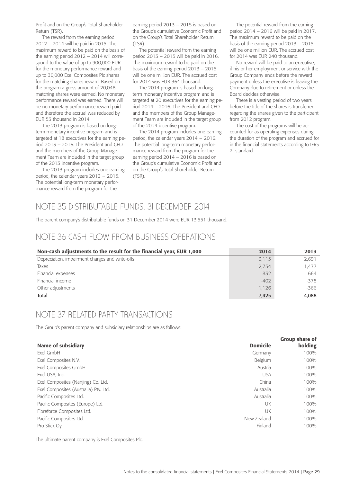Profit and on the Group's Total Shareholder Return (TSR).

The reward from the earning period 2012 – 2014 will be paid in 2015. The maximum reward to be paid on the basis of the earning period 2012 – 2014 will correspond to the value of up to 900,000 EUR for the monetary performance reward and up to 30,000 Exel Composites Plc shares for the matching shares reward. Based on the program a gross amount of 20,048 matching shares were earned. No monetary performance reward was earned. There will be no monetary performance reward paid and therefore the accrual was reduced by EUR 53 thousand in 2014.

The 2013 program is based on longterm monetary incentive program and is targeted at 18 executives for the earning period 2013 – 2016. The President and CEO and the members of the Group Management Team are included in the target group of the 2013 incentive program.

The 2013 program includes one earning period, the calendar years 2013 − 2015. The potential long-term monetary performance reward from the program for the

earning period 2013 – 2015 is based on the Group's cumulative Economic Profit and on the Group's Total Shareholder Return (TSR).

The potential reward from the earning period 2013 – 2015 will be paid in 2016. The maximum reward to be paid on the basis of the earning period 2013 – 2015 will be one million EUR. The accrued cost for 2014 was EUR 364 thousand.

The 2014 program is based on longterm monetary incentive program and is targeted at 20 executives for the earning period 2014 – 2016. The President and CEO and the members of the Group Management Team are included in the target group of the 2014 incentive program.

The 2014 program includes one earning period, the calendar years 2014 − 2016. The potential long-term monetary performance reward from the program for the earning period 2014 – 2016 is based on the Group's cumulative Economic Profit and on the Group's Total Shareholder Return (TSR).

The potential reward from the earning period 2014 – 2016 will be paid in 2017. The maximum reward to be paid on the basis of the earning period 2013 – 2015 will be one million EUR. The accrued cost for 2014 was EUR 240 thousand.

No reward will be paid to an executive, if his or her employment or service with the Group Company ends before the reward payment unless the executive is leaving the Company due to retirement or unless the Board decides otherwise.

There is a vesting period of two years before the title of the shares is transferred regarding the shares given to the participant from 2012 program.

The cost of the programs will be accounted for as operating expenses during the duration of the program and accrued for in the financial statements according to IFRS 2 -standard.

### NOTE 35 DISTRIBUTABLE FUNDS, 31 DECEMBER 2014

The parent company's distributable funds on 31 December 2014 were EUR 13,551 thousand.

### NOTE 36 CASH FLOW FROM BUSINESS OPERATIONS

| Non-cash adjustments to the result for the financial year, EUR 1,000 | 2014   | 2013   |
|----------------------------------------------------------------------|--------|--------|
| Depreciation, impairment charges and write-offs                      | 3,115  | 2,691  |
| Taxes                                                                | 2,754  | 1.477  |
| Financial expenses                                                   | 832    | 664    |
| Financial income                                                     | $-402$ | $-378$ |
| Other adjustments                                                    | 1.126  | $-366$ |
| Total                                                                | 7,425  | 4.088  |

### NOTE 37 RELATED PARTY TRANSACTIONS

The Group's parent company and subsidiary relationships are as follows:

|                 | Group share of |
|-----------------|----------------|
| <b>Domicile</b> | holding        |
| Germany         | 100%           |
| Belgium         | 100%           |
| Austria         | 100%           |
| <b>USA</b>      | 100%           |
| China           | 100%           |
| Australia       | 100%           |
| Australia       | 100%           |
| UK              | 100%           |
| UK              | 100%           |
| New Zealand     | 100%           |
| Finland         | 100%           |
|                 |                |

The ultimate parent company is Exel Composites Plc.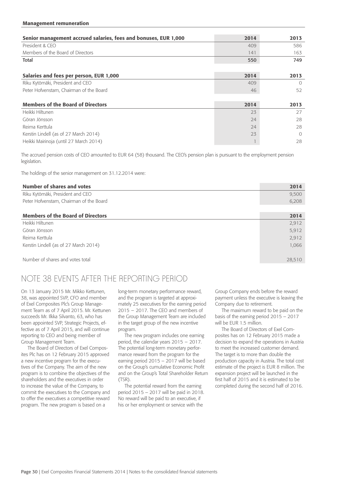#### Management remuneration

| Senior management accrued salaries, fees and bonuses, EUR 1,000 | 2014 | 2013      |
|-----------------------------------------------------------------|------|-----------|
| President & CEO                                                 | 409  | 586       |
| Members of the Board of Directors                               | 141  | 163       |
| Total                                                           | 550  | 749       |
|                                                                 |      |           |
| Salaries and fees per person, EUR 1,000                         | 2014 | 2013      |
| Riku Kytömäki, President and CEO                                | 409  | $\bigcap$ |
| Peter Hofvenstam, Chairman of the Board                         | 46   | 52        |
|                                                                 |      |           |
| <b>Members of the Board of Directors</b>                        | 2014 | 2013      |
| Heikki Hiltunen                                                 | 23   | 27        |
| Göran Jönsson                                                   | 24   | 28        |
| Reima Kerttula                                                  | 24   | 28        |
| Kerstin Lindell (as of 27 March 2014)                           | 23   | $\Omega$  |
| Heikki Mairinoja (until 27 March 2014)                          |      | 28        |

The accrued pension costs of CEO amounted to EUR 64 (58) thousand. The CEO's pension plan is pursuant to the employment pension legislation.

The holdings of the senior management on 31.12.2014 were:

| <b>Number of shares and votes</b>        | 2014   |
|------------------------------------------|--------|
| Riku Kytömäki, President and CEO         | 9,500  |
| Peter Hofvenstam, Chairman of the Board  | 6,208  |
|                                          |        |
| <b>Members of the Board of Directors</b> | 2014   |
| Heikki Hiltunen                          | 2,912  |
| Göran Jönsson                            | 5,912  |
| Reima Kerttula                           | 2,912  |
| Kerstin Lindell (as of 27 March 2014)    | 1,066  |
|                                          |        |
| Number of shares and votes total         | 28,510 |

### NOTE 38 EVENTS AFTER THE REPORTING PERIOD

On 13 January 2015 Mr. Mikko Kettunen, 38, was appointed SVP, CFO and member of Exel Composites Plc's Group Management Team as of 7 April 2015. Mr. Kettunen succeeds Mr. Ilkka Silvanto, 63, who has been appointed SVP, Strategic Projects, effective as of 7 April 2015, and will continue reporting to CEO and being member of Group Management Team.

The Board of Directors of Exel Composites Plc has on 12 February 2015 approved a new incentive program for the executives of the Company. The aim of the new program is to combine the objectives of the shareholders and the executives in order to increase the value of the Company, to commit the executives to the Company and to offer the executives a competitive reward program. The new program is based on a

long-term monetary performance reward, and the program is targeted at approximately 25 executives for the earning period 2015 − 2017. The CEO and members of the Group Management Team are included in the target group of the new incentive program.

The new program includes one earning period, the calendar years 2015 − 2017. The potential long-term monetary performance reward from the program for the earning period 2015 – 2017 will be based on the Group's cumulative Economic Profit and on the Group's Total Shareholder Return (TSR).

The potential reward from the earning period 2015 – 2017 will be paid in 2018. No reward will be paid to an executive, if his or her employment or service with the

Group Company ends before the reward payment unless the executive is leaving the Company due to retirement.

The maximum reward to be paid on the basis of the earning period 2015 – 2017 will be EUR 1.5 million.

The Board of Directors of Exel Composites has on 12 February 2015 made a decision to expand the operations in Austria to meet the increased customer demand. The target is to more than double the production capacity in Austria. The total cost estimate of the project is EUR 8 million. The expansion project will be launched in the first half of 2015 and it is estimated to be completed during the second half of 2016.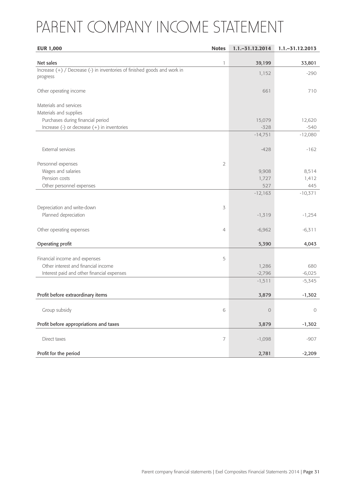## PARENT COMPANY INCOME STATEMENT

| <b>EUR 1,000</b>                                                                     | <b>Notes</b>   | 1.1. - 31.12.2014 | 1.1. - 31.12.2013 |
|--------------------------------------------------------------------------------------|----------------|-------------------|-------------------|
|                                                                                      |                |                   |                   |
| Net sales                                                                            | 1              | 39,199            | 33,801            |
| Increase (+) / Decrease (-) in inventories of finished goods and work in<br>progress |                | 1,152             | $-290$            |
| Other operating income                                                               |                | 661               | 710               |
| Materials and services                                                               |                |                   |                   |
| Materials and supplies                                                               |                |                   |                   |
| Purchases during financial period                                                    |                | 15,079            | 12,620            |
| Increase $(-)$ or decrease $(+)$ in inventories                                      |                | $-328$            | $-540$            |
|                                                                                      |                | $-14,751$         | $-12,080$         |
| External services                                                                    |                | $-428$            | $-162$            |
|                                                                                      |                |                   |                   |
| Personnel expenses                                                                   | $\overline{2}$ |                   |                   |
| Wages and salaries                                                                   |                | 9,908             | 8,514             |
| Pension costs                                                                        |                | 1,727             | 1,412             |
| Other personnel expenses                                                             |                | 527               | 445               |
|                                                                                      |                | $-12,163$         | $-10,371$         |
| Depreciation and write-down                                                          | 3              |                   |                   |
| Planned depreciation                                                                 |                | $-1,319$          | $-1,254$          |
| Other operating expenses                                                             | 4              | $-6,962$          | $-6,311$          |
| Operating profit                                                                     |                | 5,390             | 4,043             |
|                                                                                      |                |                   |                   |
| Financial income and expenses<br>Other interest and financial income                 | 5              | 1,286             | 680               |
| Interest paid and other financial expenses                                           |                | $-2,796$          | $-6,025$          |
|                                                                                      |                | $-1,511$          | $-5,345$          |
|                                                                                      |                |                   |                   |
| Profit before extraordinary items                                                    |                | 3,879             | $-1,302$          |
| Group subsidy                                                                        | 6              | $\circ$           | $\bigcirc$        |
| Profit before appropriations and taxes                                               |                | 3,879             | $-1,302$          |
|                                                                                      |                |                   |                   |
| Direct taxes                                                                         | $\overline{7}$ | $-1,098$          | $-907$            |
| Profit for the period                                                                |                | 2,781             | $-2,209$          |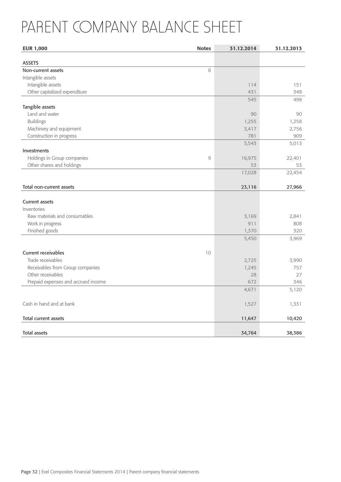## PARENT COMPANY BALANCE SHEET

| <b>EUR 1,000</b><br><b>Notes</b>    | 31.12.2014 | 31.12.2013 |
|-------------------------------------|------------|------------|
|                                     |            |            |
| <b>ASSETS</b>                       |            |            |
| Non-current assets<br>8             |            |            |
| Intangible assets                   |            |            |
| Intangible assets                   | 114        | 151        |
| Other capitalized expenditure       | 431        | 348        |
|                                     | 545        | 498        |
| Tangible assets                     |            |            |
| Land and water                      | 90         | 90         |
| <b>Buildings</b>                    | 1,255      | 1,258      |
| Machinery and equipment             | 3,417      | 2,756      |
| Construction in progress            | 781        | 909        |
|                                     | 5,543      | 5,013      |
| Investments                         |            |            |
| Holdings in Group companies<br>9    | 16,975     | 22,401     |
| Other shares and holdings           | 53         | 53         |
|                                     | 17,028     | 22,454     |
|                                     |            |            |
| Total non-current assets            | 23,116     | 27,966     |
|                                     |            |            |
| <b>Current assets</b>               |            |            |
| Inventories                         |            |            |
| Raw materials and consumables       | 3,169      | 2,841      |
| Work in progress                    | 911        | 808        |
| Finished goods                      | 1,370      | 320        |
|                                     | 5,450      | 3,969      |
|                                     |            |            |
| <b>Current receivables</b><br>10    |            |            |
| Trade receivables                   | 2,725      | 3,990      |
| Receivables from Group companies    | 1,245      | 757        |
| Other receivables                   | 28         | 27         |
| Prepaid expenses and accrued income | 672        | 346        |
|                                     | 4,671      | 5,120      |
|                                     |            |            |
| Cash in hand and at bank            | 1,527      | 1,331      |
| Total current assets                | 11,647     | 10,420     |
|                                     |            |            |
| <b>Total assets</b>                 | 34,764     | 38,386     |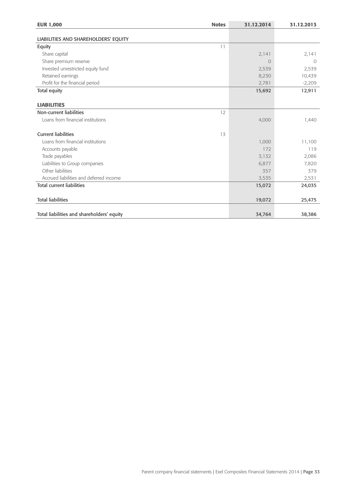| <b>EUR 1,000</b><br><b>Notes</b>           | 31.12.2014 | 31.12.2013 |
|--------------------------------------------|------------|------------|
|                                            |            |            |
| LIABILITIES AND SHAREHOLDERS' EQUITY       |            |            |
| 11<br>Equity                               |            |            |
| Share capital                              | 2,141      | 2,141      |
| Share premium reserve                      | $\Omega$   | $\Omega$   |
| Invested unrestricted equity fund          | 2,539      | 2,539      |
| Retained earnings                          | 8,230      | 10,439     |
| Profit for the financial period            | 2,781      | $-2,209$   |
| Total equity                               | 15,692     | 12,911     |
|                                            |            |            |
| <b>LIABILITIES</b>                         |            |            |
| Non-current liabilities<br>12              |            |            |
| Loans from financial institutions          | 4,000      | 1,440      |
| <b>Current liabilities</b><br>13           |            |            |
| Loans from financial institutions          | 1,000      | 11,100     |
| Accounts payable                           | 172        | 119        |
| Trade payables                             | 3,132      | 2,086      |
| Liabilities to Group companies             | 6,877      | 7,820      |
| Other liabilities                          | 357        | 379        |
| Accrued liabilities and deferred income    | 3,535      | 2,531      |
| <b>Total current liabilities</b>           | 15,072     | 24,035     |
| <b>Total liabilities</b>                   | 19,072     | 25,475     |
| Total liabilities and shareholders' equity | 34,764     | 38,386     |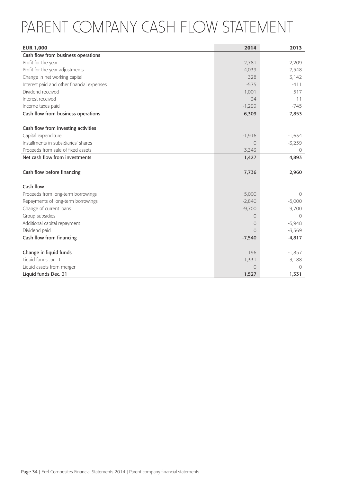## PARENT COMPANY CASH FLOW STATEMENT

| <b>EUR 1,000</b>                           | 2014     | 2013     |
|--------------------------------------------|----------|----------|
| Cash flow from business operations         |          |          |
| Profit for the year                        | 2,781    | $-2,209$ |
| Profit for the year adjustments            | 4,039    | 7,548    |
| Change in net working capital              | 328      | 3,142    |
| Interest paid and other financial expenses | $-575$   | $-411$   |
| Dividend received                          | 1,001    | 517      |
| Interest received                          | 34       | 11       |
| Income taxes paid                          | $-1,299$ | $-745$   |
| Cash flow from business operations         | 6,309    | 7,853    |
|                                            |          |          |
| Cash flow from investing activities        |          |          |
| Capital expenditure                        | $-1,916$ | $-1,634$ |
| Installments in subsidiaries' shares       | $\circ$  | $-3,259$ |
| Proceeds from sale of fixed assets         | 3,343    | $\circ$  |
| Net cash flow from investments             | 1,427    | 4,893    |
|                                            |          |          |
| Cash flow before financing                 | 7,736    | 2,960    |
| Cash flow                                  |          |          |
| Proceeds from long-term borrowings         | 5,000    | $\Omega$ |
| Repayments of long-term borrowings         | $-2,840$ | $-5,000$ |
| Change of current loans                    | $-9,700$ | 9,700    |
| Group subsidies                            | $\circ$  | $\Omega$ |
| Additional capital repayment               | $\circ$  | $-5,948$ |
| Dividend paid                              | $\circ$  | $-3,569$ |
| Cash flow from financing                   | $-7,540$ | $-4,817$ |
|                                            |          |          |
| Change in liquid funds                     | 196      | $-1,857$ |
| Liquid funds Jan. 1                        | 1,331    | 3,188    |
| Liquid assets from merger                  | $\circ$  | 0        |
| Liquid funds Dec. 31                       | 1,527    | 1,331    |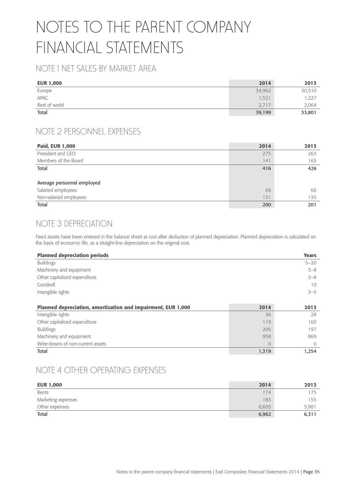## NOTES TO THE PARENT COMPANY FINANCIAL STATEMENTS

### NOTE 1 NET SALES BY MARKET AREA

| <b>EUR 1,000</b> | 2014   | 2013   |
|------------------|--------|--------|
| Europe           | 34,962 | 30,510 |
| APAC             | 1,521  | 1,227  |
| Rest of world    | 2,717  | 2,064  |
| Total            | 39,199 | 33,801 |

### NOTE 2 PERSONNEL EXPENSES

| <b>Paid, EUR 1,000</b>     | 2014 | 2013 |
|----------------------------|------|------|
| President and CEO          | 275  | 263  |
| Members of the Board       | 141  | 163  |
| Total                      | 416  | 426  |
|                            |      |      |
| Average personnel employed |      |      |
| Salaried employees         | 69   | 66   |
| Non-salaried employees     | 131  | 135  |
| Total                      | 200  | 201  |

### NOTE 3 DEPRECIATION

Fixed assets have been entered in the balance sheet at cost after deduction of planned depreciation. Planned depreciation is calculated on the basis of economic life, as a straight-line depreciation on the original cost.

| <b>Planned depreciation periods</b>                          |            | <b>Years</b> |
|--------------------------------------------------------------|------------|--------------|
| <b>Buildings</b>                                             |            | $5 - 20$     |
| Machinery and equipment                                      |            | $3 - 8$      |
| Other capitalized expenditure                                |            | $3 - 8$      |
| Goodwill                                                     |            | 10           |
| Intangible rights                                            |            | $3 - 5$      |
|                                                              |            |              |
| Planned depreciation, amortization and impairment, EUR 1,000 | 2014       | 2013         |
| Intangible rights                                            | 36         | 28           |
| Other capitalized expenditure                                | 119        | 160          |
| <b>Buildings</b>                                             | 205        | 197          |
| Machinery and equipment                                      | 958        | 869          |
| Write-downs of non-current assets                            | $\bigcirc$ | $\bigcap$    |
| Total                                                        | 1,319      | 1,254        |

### NOTE 4 OTHER OPERATING EXPENSES

| <b>EUR 1,000</b>   | 2014  | 2013  |
|--------------------|-------|-------|
| Rents              | 174   | 75    |
| Marketing expenses | 183   | 155   |
| Other expenses     | 6,605 | 5,981 |
| Total              | 6,962 | 6,311 |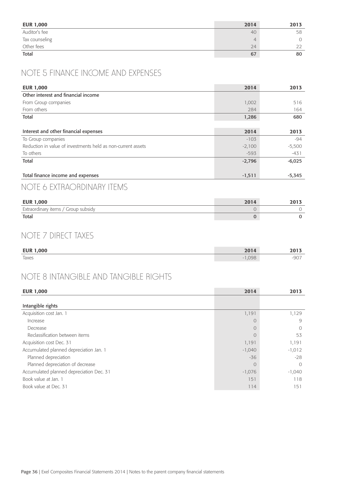| <b>EUR 1,000</b> | 2014     | 2013 |
|------------------|----------|------|
| Auditor's fee    | 40       | 58   |
| Tax counseling   | $\Delta$ |      |
| Other fees       | 24       | าา   |
| Total            | 67       | 80   |

### NOTE 5 FINANCE INCOME AND EXPENSES

| <b>EUR 1,000</b>                                             | 2014     | 2013     |
|--------------------------------------------------------------|----------|----------|
| Other interest and financial income                          |          |          |
| From Group companies                                         | 1,002    | 516      |
| From others                                                  | 284      | 164      |
| Total                                                        | 1,286    | 680      |
|                                                              |          |          |
| Interest and other financial expenses                        | 2014     | 2013     |
| To Group companies                                           | $-103$   | $-94$    |
| Reduction in value of investments held as non-current assets | $-2,100$ | $-5,500$ |
| To others                                                    | $-593$   | $-431$   |
| Total                                                        | $-2,796$ | $-6,025$ |
|                                                              |          |          |
| Total finance income and expenses                            | $-1,511$ | $-5,345$ |

### NOTE 6 EXTRAORDINARY ITEMS

| <b>EUR 1,000</b>                    | 2014 | 2013 |
|-------------------------------------|------|------|
| Extraordinary items / Group subsidy |      |      |
| Total                               |      |      |

### NOTE 7 DIRECT TAXES

| <b>EUR 1,000</b> |     |  |
|------------------|-----|--|
| Taxes            | 098 |  |

### NOTE 8 INTANGIBLE AND TANGIBLE RIGHTS

| <b>EUR 1,000</b>                         | 2014      | 2013       |
|------------------------------------------|-----------|------------|
| Intangible rights                        |           |            |
| Acquisition cost Jan. 1                  | 1,191     | 1,129      |
| Increase                                 | $\bigcap$ | 9          |
| Decrease                                 | $\Omega$  | $\bigcirc$ |
| Reclassification between items           |           | 53         |
| Acquisition cost Dec. 31                 | 1,191     | 1,191      |
| Accumulated planned depreciation Jan. 1  | $-1,040$  | $-1,012$   |
| Planned depreciation                     | $-36$     | $-28$      |
| Planned depreciation of decrease         | $\bigcap$ | $\bigcap$  |
| Accumulated planned depreciation Dec. 31 | $-1,076$  | $-1,040$   |
| Book value at Jan. 1                     | 151       | 118        |
| Book value at Dec. 31                    | 114       | 151        |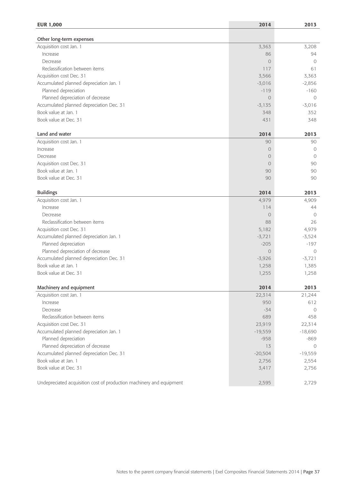| <b>EUR 1,000</b>                                                     | 2014               | 2013           |
|----------------------------------------------------------------------|--------------------|----------------|
| Other long-term expenses                                             |                    |                |
| Acquisition cost Jan. 1                                              | 3,363              | 3,208          |
| Increase                                                             | 86                 | 94             |
| Decrease                                                             | $\circ$            | $\circ$        |
| Reclassification between items                                       | 117                | 61             |
| Acquisition cost Dec. 31                                             | 3,566              | 3,363          |
| Accumulated planned depreciation Jan. 1                              | $-3,016$           | $-2,856$       |
| Planned depreciation                                                 | $-119$             | $-160$         |
| Planned depreciation of decrease                                     | $\circ$            | $\circ$        |
| Accumulated planned depreciation Dec. 31                             | $-3,135$           | $-3,016$       |
| Book value at Jan. 1                                                 | 348                | 352            |
| Book value at Dec. 31                                                | 431                | 348            |
|                                                                      |                    |                |
| Land and water                                                       | 2014               | 2013           |
| Acquisition cost Jan. 1                                              | 90                 | 90             |
| Increase                                                             | $\circ$            | 0              |
| Decrease                                                             | $\circ$            | $\circ$        |
| Acquisition cost Dec. 31                                             | $\circ$            | 90             |
| Book value at Jan. 1                                                 | 90                 | 90             |
| Book value at Dec. 31                                                | 90                 | 90             |
| <b>Buildings</b>                                                     | 2014               | 2013           |
| Acquisition cost Jan. 1                                              | 4,979              | 4,909          |
| Increase                                                             | 114                | 44             |
| Decrease                                                             | $\circ$            | $\circ$        |
| Reclassification between items                                       | 88                 | 26             |
| Acquisition cost Dec. 31                                             | 5,182              | 4,979          |
| Accumulated planned depreciation Jan. 1                              |                    | $-3,524$       |
| Planned depreciation                                                 | $-3,721$<br>$-205$ | $-197$         |
| Planned depreciation of decrease                                     | $\circ$            | $\circ$        |
| Accumulated planned depreciation Dec. 31                             | $-3,926$           | $-3,721$       |
| Book value at Jan. 1                                                 | 1,258              |                |
| Book value at Dec. 31                                                | 1,255              | 1,385<br>1,258 |
|                                                                      |                    |                |
| Machinery and equipment                                              | 2014               | 2013           |
| Acquisition cost Jan. 1                                              | 22,314             | 21,244         |
| Increase                                                             | 950                | 612            |
| Decrease                                                             | $-34$              | $\circ$        |
| Reclassification between items                                       | 689                | 458            |
| Acquisition cost Dec. 31                                             | 23,919             | 22,314         |
| Accumulated planned depreciation Jan. 1                              | $-19,559$          | $-18,690$      |
| Planned depreciation                                                 | $-958$             | $-869$         |
| Planned depreciation of decrease                                     | 13                 | $\circ$        |
| Accumulated planned depreciation Dec. 31                             | $-20,504$          | $-19,559$      |
| Book value at Jan. 1                                                 | 2,756              | 2,554          |
| Book value at Dec. 31                                                | 3,417              | 2,756          |
|                                                                      |                    |                |
| Undepreciated acquisition cost of production machinery and equipment | 2,595              | 2,729          |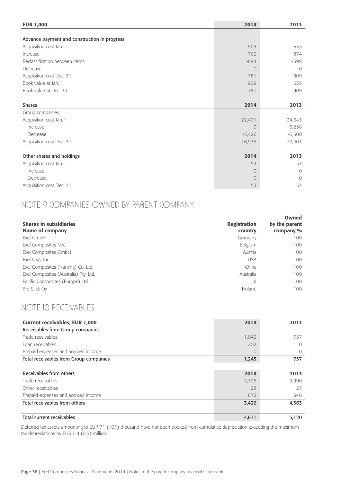| <b>EUR 1,000</b>                             | 2014           | 2013       |
|----------------------------------------------|----------------|------------|
|                                              |                |            |
| Advance payment and construction in progress |                |            |
| Acquisition cost Jan. 1                      | 909            | 633        |
| Increase                                     | 766            | 874        |
| Reclassification between items               | $-894$         | $-598$     |
| Decrease                                     | $\Omega$       | $\bigcirc$ |
| Acquisition cost Dec. 31                     | 781            | 909        |
| Book value at Jan. 1                         | 909            | 633        |
| Book value at Dec. 31                        | 781            | 909        |
|                                              |                |            |
| <b>Shares</b>                                | 2014           | 2013       |
| Group companies                              |                |            |
| Acquisition cost Jan. 1                      | 22,401         | 24,643     |
| Increase                                     | $\Omega$       | 3,258      |
| Decrease                                     | $-5,426$       | $-5,500$   |
| Acquisition cost Dec. 31                     | 16,975         | 22,401     |
|                                              |                |            |
| Other shares and holdings                    | 2014           | 2013       |
| Acquisition cost Jan. 1                      | 53             | 53         |
| Increase                                     | $\overline{0}$ | $\bigcirc$ |
| Decrease                                     | $\Omega$       | $\Omega$   |
| Acquisition cost Dec. 31                     | 53             | 53         |

### NOTE 9 COMPANIES OWNED BY PARENT COMPANY

| <b>Shares in subsidiaries</b>         | <b>Registration</b> | Owned<br>by the parent |
|---------------------------------------|---------------------|------------------------|
| Name of company                       | country             | company %              |
| Exel GmbH                             | Germany             | 100                    |
| Exel Composites N.V.                  | Belgium             | 100                    |
| Exel Composites GmbH                  | Austria             | 100                    |
| Exel USA, Inc.                        | <b>USA</b>          | 100                    |
| Exel Composites (Nanjing) Co. Ltd.    | China               | 100                    |
| Exel Composites (Australia) Pty. Ltd. | Australia           | 100                    |
| Pacific Composites (Europe) Ltd.      | UK                  | 100                    |
| Pro Stick Ov                          | Finland             | 100                    |

### NOTE 10 RECEIVABLES

| <b>Current receivables, EUR 1,000</b>  | 2014  | 2013     |
|----------------------------------------|-------|----------|
| Receivables from Group companies       |       |          |
| Trade receivables                      | 1,043 | 757      |
| Loan receivables                       | 202   | $\Omega$ |
| Prepaid expenses and accrued income    | 0     | $\Omega$ |
| Total receivables from Group companies | 1,245 | 757      |
|                                        |       |          |
| Receivables from others                |       |          |
|                                        | 2014  | 2013     |
| Trade receivables                      | 2,725 | 3,990    |
| Other receivables                      | 28    | 27       |
| Prepaid expenses and accrued income    | 672   | 346      |
| Total receivables from others          | 3,426 | 4,363    |
|                                        |       |          |

Deferred tax assets amounting to EUR 71 (101) thousand have not been booked from cumulative depreciation exceeding the maximum tax depreciations by EUR 0.4 (0.5) million.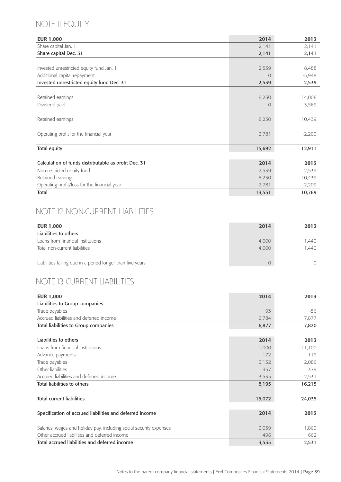### NOTE 11 EQUITY

| <b>EUR 1,000</b>                                     | 2014      | 2013     |
|------------------------------------------------------|-----------|----------|
| Share capital Jan. 1                                 | 2,141     | 2,141    |
| Share capital Dec. 31                                | 2,141     | 2,141    |
|                                                      |           |          |
| Invested unrestricted equity fund Jan. 1             | 2,539     | 8,488    |
| Additional capital repayment                         | $\bigcap$ | $-5,948$ |
| Invested unrestricted equity fund Dec. 31            | 2,539     | 2,539    |
|                                                      |           |          |
| Retained earnings                                    | 8,230     | 14,008   |
| Dividend paid                                        | $\bigcap$ | $-3,569$ |
|                                                      |           |          |
| Retained earnings                                    | 8,230     | 10,439   |
|                                                      |           |          |
| Operating profit for the financial year              | 2,781     | $-2,209$ |
|                                                      |           |          |
| <b>Total equity</b>                                  | 15,692    | 12,911   |
|                                                      |           |          |
| Calculation of funds distributable as profit Dec. 31 | 2014      | 2013     |
| Non-restricted equity fund                           | 2,539     | 2,539    |
| Retained earnings                                    | 8,230     | 10,439   |
| Operating profit/loss for the financial year         | 2,781     | $-2,209$ |
| Total                                                | 13,551    | 10,769   |

### NOTE 12 NON-CURRENT LIABILITIES

| <b>EUR 1,000</b>                                           | 2014  | 2013  |
|------------------------------------------------------------|-------|-------|
| Liabilities to others                                      |       |       |
| Loans from financial institutions                          | 4,000 | 1.440 |
| Total non-current liabilities                              | 4.000 | 1.440 |
|                                                            |       |       |
| Liabilities falling due in a period longer than five years |       |       |

### NOTE 13 CURRENT LIABILITIES

| <b>EUR 1,000</b>                                                    | 2014   | 2013   |
|---------------------------------------------------------------------|--------|--------|
| Liabilities to Group companies                                      |        |        |
| Trade payables                                                      | 93     | $-56$  |
| Accrued liabilities and deferred income                             | 6,784  | 7,877  |
| Total liabilities to Group companies                                | 6,877  | 7,820  |
| Liabilities to others                                               | 2014   | 2013   |
| Loans from financial institutions                                   | 1,000  | 11,100 |
| Advance payments                                                    | 172    | 119    |
| Trade payables                                                      | 3,132  | 2,086  |
| Other liabilities                                                   | 357    | 379    |
| Accrued liabilities and deferred income                             | 3,535  | 2,531  |
| Total liabilities to others                                         | 8,195  | 16,215 |
| <b>Total current liabilities</b>                                    | 15,072 | 24,035 |
| Specification of accrued liabilities and deferred income            | 2014   | 2013   |
|                                                                     |        |        |
| Salaries, wages and holiday pay, including social security expenses | 3,039  | 1,869  |
| Other accrued liabilities and deferred income                       | 496    | 662    |
| Total accrued liabilities and deferred income                       | 3,535  | 2,531  |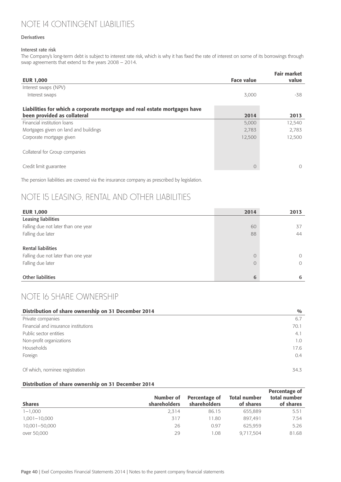### NOTE 14 CONTINGENT LIABILITIES

### Derivatives

### Interest rate risk

The Company's long-term debt is subject to interest rate risk, which is why it has fixed the rate of interest on some of its borrowings through swap agreements that extend to the years 2008 – 2014.

| <b>EUR 1,000</b>                                                          | <b>Face value</b> | <b>Fair market</b><br>value |
|---------------------------------------------------------------------------|-------------------|-----------------------------|
| Interest swaps (NPV)                                                      |                   |                             |
| Interest swaps                                                            | 3,000             | -38                         |
| Liabilities for which a corporate mortgage and real estate mortgages have |                   |                             |
| been provided as collateral                                               | 2014              | 2013                        |
| Financial institution loans                                               | 5,000             | 12,540                      |
| Mortgages given on land and buildings                                     | 2,783             | 2,783                       |
| Corporate mortgage given                                                  | 12,500            | 12,500                      |
| Collateral for Group companies                                            |                   |                             |
| Credit limit guarantee                                                    | $\overline{O}$    | $\Omega$                    |

The pension liabilities are covered via the insurance company as prescribed by legislation.

### NOTE 15 LEASING, RENTAL AND OTHER LIABILITIES

| <b>EUR 1,000</b>                    | 2014           | 2013     |
|-------------------------------------|----------------|----------|
| Leasing liabilities                 |                |          |
| Falling due not later than one year | 60             | 37       |
| Falling due later                   | 88             | 44       |
| Rental liabilities                  |                |          |
| Falling due not later than one year | $\bigcirc$     | 0        |
| Falling due later                   | $\overline{O}$ | $\Omega$ |
|                                     |                |          |
| Other liabilities                   | 6              | 6        |

### NOTE 16 SHARE OWNERSHIP

| Distribution of share ownership on 31 December 2014 | $\frac{0}{0}$ |
|-----------------------------------------------------|---------------|
| Private companies                                   | 6.7           |
| Financial and insurance institutions                | 70.1          |
| Public sector entities                              | 4.1           |
| Non-profit organizations                            | 1.0           |
| Households                                          | 17.6          |
| Foreign                                             | 0.4           |
|                                                     |               |
| Of which, nominee registration                      | 34.3          |

### Distribution of share ownership on 31 December 2014

| <b>Shares</b>    | Number of<br><b>shareholders</b> | Percentage of<br>shareholders | <b>Total number</b><br>of shares | Percentage of<br>total number<br>of shares |
|------------------|----------------------------------|-------------------------------|----------------------------------|--------------------------------------------|
| $1 - 1,000$      | 2.314                            | 86.15                         | 655,889                          | 5.51                                       |
| $1,001 - 10,000$ | 317                              | 11.80                         | 897.491                          | 7.54                                       |
| 10,001-50,000    | 26                               | 0.97                          | 625.959                          | 5.26                                       |
| over 50,000      | 29                               | .08                           | 9.717.504                        | 81.68                                      |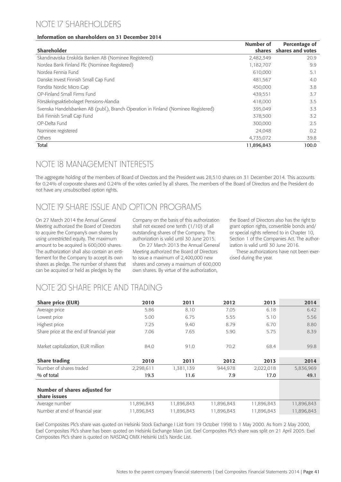### Information on shareholders on 31 December 2014

| <b>Shareholder</b>                                                                 | <b>Number of</b> | Percentage of<br>shares shares and votes |
|------------------------------------------------------------------------------------|------------------|------------------------------------------|
|                                                                                    |                  |                                          |
| Skandinaviska Enskilda Banken AB (Nominee Registered)                              | 2,482,349        | 20.9                                     |
| Nordea Bank Finland Plc (Nominee Registered)                                       | 1,182,707        | 9.9                                      |
| Nordea Fennia Fund                                                                 | 610,000          | 5.1                                      |
| Danske Invest Finnish Small Cap Fund                                               | 481,567          | 4.0                                      |
| Fondita Nordic Micro Cap                                                           | 450,000          | 3.8                                      |
| OP-Finland Small Firms Fund                                                        | 439,551          | 3.7                                      |
| Försäkringsaktiebolaget Pensions-Alandia                                           | 418,000          | 3.5                                      |
| Svenska Handelsbanken AB (publ.), Branch Operation in Finland (Nominee Registered) | 395,049          | 3.3                                      |
| Evli Finnish Small Cap Fund                                                        | 378,500          | 3.2                                      |
| OP-Delta Fund                                                                      | 300,000          | 2.5                                      |
| Nominee registered                                                                 | 24,048           | 0.2                                      |
| Others                                                                             | 4,735,072        | 39.8                                     |
| Total                                                                              | 11,896,843       | 100.0                                    |

### NOTE 18 MANAGEMENT INTERESTS

The aggregate holding of the members of Board of Directors and the President was 28,510 shares on 31 December 2014. This accounts for 0.24% of corporate shares and 0.24% of the votes carried by all shares. The members of the Board of Directors and the President do not have any unsubscribed option rights.

### NOTE 19 SHARE ISSUE AND OPTION PROGRAMS

On 27 March 2014 the Annual General Meeting authorized the Board of Directors to acquire the Company's own shares by using unrestricted equity. The maximum amount to be acquired is 600,000 shares. The authorization shall also contain an entitlement for the Company to accept its own shares as pledge. The number of shares that can be acquired or held as pledges by the

Company on the basis of this authorization shall not exceed one tenth (1/10) of all outstanding shares of the Company. The authorization is valid until 30 June 2015.

On 27 March 2013 the Annual General Meeting authorized the Board of Directors to issue a maximum of 2,400,000 new shares and convey a maximum of 600,000 own shares. By virtue of the authorization,

the Board of Directors also has the right to grant option rights, convertible bonds and/ or special rights referred to in Chapter 10, Section 1 of the Companies Act. The authorization is valid until 30 June 2016.

These authorizations have not been exercised during the year.

### NOTE 20 SHARE PRICE AND TRADING

| <b>Share price (EUR)</b>                      | 2010       | 2011       | 2012       | 2013       | 2014       |
|-----------------------------------------------|------------|------------|------------|------------|------------|
| Average price                                 | 5.86       | 8.10       | 7.05       | 6.18       | 6.42       |
| Lowest price                                  | 5.00       | 6.75       | 5.55       | 5.10       | 5.56       |
| Highest price                                 | 7.25       | 9.40       | 8.79       | 6.70       | 8.80       |
| Share price at the end of financial year      | 7.06       | 7.65       | 5.90       | 5.75       | 8.39       |
| Market capitalization, EUR million            | 84.0       | 91.0       | 70.2       | 68.4       | 99.8       |
|                                               |            |            |            |            |            |
|                                               |            |            |            |            |            |
| <b>Share trading</b>                          | 2010       | 2011       | 2012       | 2013       | 2014       |
| Number of shares traded                       | 2,298,611  | 1,381,139  | 944,978    | 2,022,018  | 5,836,969  |
| % of total                                    | 19.3       | 11.6       | 7.9        | 17.0       | 49.1       |
| Number of shares adjusted for<br>share issues |            |            |            |            |            |
| Average number                                | 11,896,843 | 11,896,843 | 11,896,843 | 11,896,843 | 11,896,843 |

Exel Composites Plc's share was quoted on Helsinki Stock Exchange I List from 19 October 1998 to 1 May 2000. As from 2 May 2000, Exel Composites Plc's share has been quoted on Helsinki Exchange Main List. Exel Composites Plc's share was split on 21 April 2005. Exel Composites Plc's share is quoted on NASDAQ OMX Helsinki Ltd.'s Nordic List.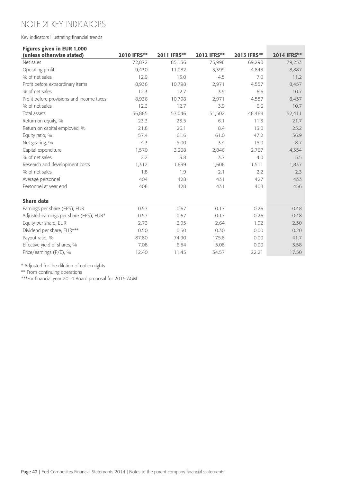### NOTE 21 KEY INDICATORS

Key indicators illustrating financial trends

| <b>Figures given in EUR 1,000</b>         |             |             |             |             |             |
|-------------------------------------------|-------------|-------------|-------------|-------------|-------------|
| (unless otherwise stated)                 | 2010 IFRS** | 2011 IFRS** | 2012 IFRS** | 2013 IFRS** | 2014 IFRS** |
| Net sales                                 | 72,872      | 85,136      | 75,998      | 69,290      | 79,253      |
| Operating profit                          | 9,430       | 11,082      | 3,399       | 4,843       | 8,887       |
| % of net sales                            | 12.9        | 13.0        | 4.5         | 7.0         | 11.2        |
| Profit before extraordinary items         | 8,936       | 10,798      | 2,971       | 4,557       | 8,457       |
| % of net sales                            | 12.3        | 12.7        | 3.9         | 6.6         | 10.7        |
| Profit before provisions and income taxes | 8,936       | 10,798      | 2,971       | 4,557       | 8,457       |
| % of net sales                            | 12.3        | 12.7        | 3.9         | 6.6         | 10.7        |
| Total assets                              | 56,885      | 57,046      | 51,502      | 48,468      | 52,411      |
| Return on equity, %                       | 23.3        | 23.5        | 6.1         | 11.3        | 21.7        |
| Return on capital employed, %             | 21.8        | 26.1        | 8.4         | 13.0        | 25.2        |
| Equity ratio, %                           | 57.4        | 61.6        | 61.0        | 47.2        | 56.9        |
| Net gearing, %                            | $-4.3$      | $-5.00$     | $-3.4$      | 15.0        | $-8.7$      |
| Capital expenditure                       | 1,570       | 3,208       | 2,846       | 2,767       | 4,354       |
| % of net sales                            | 2.2         | 3.8         | 3.7         | 4.0         | 5.5         |
| Research and development costs            | 1,312       | 1,639       | 1,606       | 1,511       | 1,837       |
| % of net sales                            | 1.8         | 1.9         | 2.1         | 2.2         | 2.3         |
| Average personnel                         | 404         | 428         | 431         | 427         | 433         |
| Personnel at year end                     | 408         | 428         | 431         | 408         | 456         |
| <b>Share data</b>                         |             |             |             |             |             |
| Earnings per share (EPS), EUR             | 0.57        | 0.67        | 0.17        | 0.26        | 0.48        |
| Adjusted earnings per share (EPS), EUR*   | 0.57        | 0.67        | 0.17        | 0.26        | 0.48        |
| Equity per share, EUR                     | 2.73        | 2.95        | 2.64        | 1.92        | 2.50        |
| Dividend per share, EUR***                | 0.50        | 0.50        | 0.30        | 0.00        | 0.20        |
| Payout ratio, %                           | 87.80       | 74.90       | 175.8       | 0.00        | 41.7        |
| Effective yield of shares, %              | 7.08        | 6.54        | 5.08        | 0.00        | 3.58        |
| Price/earnings (P/E), %                   | 12.40       | 11.45       | 34.57       | 22.21       | 17.50       |
|                                           |             |             |             |             |             |

\* Adjusted for the dilution of option rights

\*\* From continuing operations

\*\*\*For financial year 2014 Board proposal for 2015 AGM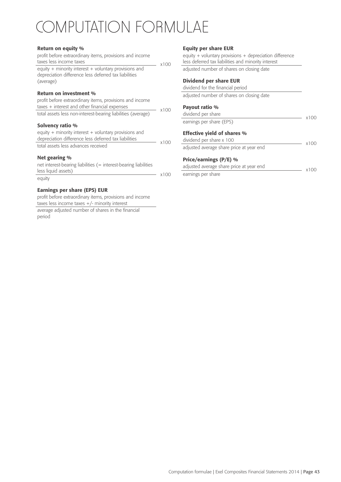## COMPUTATION FORMULAE

### Return on equity %

| profit before extraordinary items, provisions and income<br>taxes less income taxes                                         |      |
|-----------------------------------------------------------------------------------------------------------------------------|------|
| equity + minority interest + voluntary provisions and<br>depreciation difference less deferred tax liabilities<br>(average) | x100 |
| <b>Return on investment %</b>                                                                                               |      |
| profit before extraordinary items, provisions and income<br>$taxes + interest$ and other financial expenses                 | x100 |
| total assets less non-interest-bearing liabilities (average)                                                                |      |
| Solvency ratio %                                                                                                            |      |
| equity $+$ minority interest $+$ voluntary provisions and<br>depreciation difference less deferred tax liabilities          | x100 |
| total assets less advances received                                                                                         |      |
| Net gearing %                                                                                                               |      |
| net interest-bearing liabilities (= interest-bearing liabilities                                                            |      |
| less liquid assets)                                                                                                         | x100 |
| equity                                                                                                                      |      |
| <b>Earnings per share (EPS) EUR</b>                                                                                         |      |

### profit before extraordinary items, provisions and income taxes less income taxes +/- minority interest

average adjusted number of shares in the financial period

### Equity per share EUR

equity + voluntary provisions + depreciation difference less deferred tax liabilities and minority interest adjusted number of shares on closing date

### Dividend per share EUR

dividend for the financial period adjusted number of shares on closing date

### Payout ratio %

| dividend per share       | x100 |
|--------------------------|------|
| earnings per share (EPS) |      |

### Effective yield of shares %

| dividend per share x 100                 | x100 |  |
|------------------------------------------|------|--|
| adjusted average share price at year end |      |  |

### Price/earnings (P/E) %

| adjusted average share price at year end | x100 |
|------------------------------------------|------|
| earnings per share                       |      |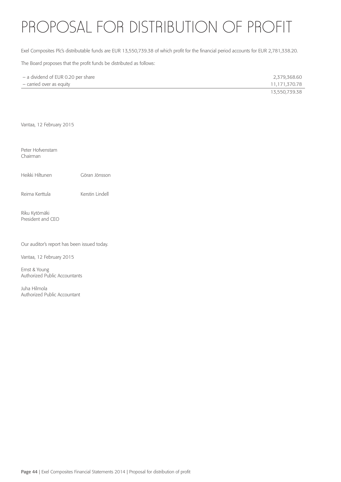## PROPOSAL FOR DISTRIBUTION OF PROFIT

Exel Composites Plc's distributable funds are EUR 13,550,739.38 of which profit for the financial period accounts for EUR 2,781,338.20.

The Board proposes that the profit funds be distributed as follows:

| - a dividend of EUR 0.20 per share | 2,379,368.60  |
|------------------------------------|---------------|
| - carried over as equity           | 11,171,370.78 |
|                                    | 13,550,739.38 |

Vantaa, 12 February 2015

Peter Hofvenstam Chairman

Reima Kerttula Kerstin Lindell

Riku Kytömäki President and CEO

Our auditor's report has been issued today.

Vantaa, 12 February 2015

Ernst & Young Authorized Public Accountants

Juha Hilmola Authorized Public Accountant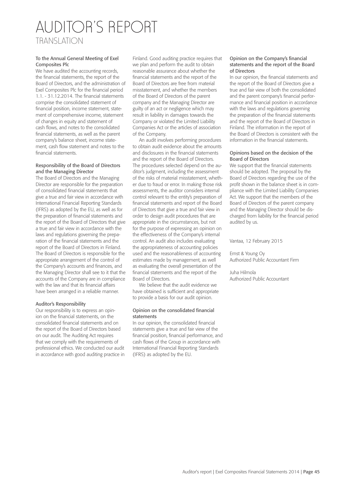## AUDITOR'S REPORT TRANSLATION

### To the Annual General Meeting of Exel Composites Plc

We have audited the accounting records, the financial statements, the report of the Board of Directors, and the administration of Exel Composites Plc for the financial period 1.1. - 31.12.2014. The financial statements comprise the consolidated statement of financial position, income statement, statement of comprehensive income, statement of changes in equity and statement of cash flows, and notes to the consolidated financial statements, as well as the parent company's balance sheet, income statement, cash flow statement and notes to the financial statements.

### Responsibility of the Board of Directors and the Managing Director

The Board of Directors and the Managing Director are responsible for the preparation of consolidated financial statements that give a true and fair view in accordance with International Financial Reporting Standards (IFRS) as adopted by the EU, as well as for the preparation of financial statements and the report of the Board of Directors that give a true and fair view in accordance with the laws and regulations governing the preparation of the financial statements and the report of the Board of Directors in Finland. The Board of Directors is responsible for the appropriate arrangement of the control of the Company's accounts and finances, and the Managing Director shall see to it that the accounts of the Company are in compliance with the law and that its financial affairs have been arranged in a reliable manner.

### Auditor's Responsibility

Our responsibility is to express an opinion on the financial statements, on the consolidated financial statements and on the report of the Board of Directors based on our audit. The Auditing Act requires that we comply with the requirements of professional ethics. We conducted our audit in accordance with good auditing practice in

Finland. Good auditing practice requires that we plan and perform the audit to obtain reasonable assurance about whether the financial statements and the report of the Board of Directors are free from material misstatement, and whether the members of the Board of Directors of the parent company and the Managing Director are guilty of an act or negligence which may result in liability in damages towards the Company or violated the Limited Liability Companies Act or the articles of association of the Company.

An audit involves performing procedures to obtain audit evidence about the amounts and disclosures in the financial statements and the report of the Board of Directors. The procedures selected depend on the auditor's judgment, including the assessment of the risks of material misstatement, whether due to fraud or error. In making those risk assessments, the auditor considers internal control relevant to the entity's preparation of financial statements and report of the Board of Directors that give a true and fair view in order to design audit procedures that are appropriate in the circumstances, but not for the purpose of expressing an opinion on the effectiveness of the Company's internal control. An audit also includes evaluating the appropriateness of accounting policies used and the reasonableness of accounting estimates made by management, as well as evaluating the overall presentation of the financial statements and the report of the Board of Directors.

We believe that the audit evidence we have obtained is sufficient and appropriate to provide a basis for our audit opinion.

### Opinion on the consolidated financial statements

In our opinion, the consolidated financial statements give a true and fair view of the financial position, financial performance, and cash flows of the Group in accordance with International Financial Reporting Standards (IFRS) as adopted by the EU.

### Opinion on the Company's financial statements and the report of the Board of Directors

In our opinion, the financial statements and the report of the Board of Directors give a true and fair view of both the consolidated and the parent company's financial performance and financial position in accordance with the laws and regulations governing the preparation of the financial statements and the report of the Board of Directors in Finland. The information in the report of the Board of Directors is consistent with the information in the financial statements.

### Opinions based on the decision of the Board of Directors

We support that the financial statements should be adopted. The proposal by the Board of Directors regarding the use of the profit shown in the balance sheet is in compliance with the Limited Liability Companies Act. We support that the members of the Board of Directors of the parent company and the Managing Director should be discharged from liability for the financial period audited by us.

Vantaa, 12 February 2015

Ernst & Young Oy Authorized Public Accountant Firm

Juha Hilmola Authorized Public Accountant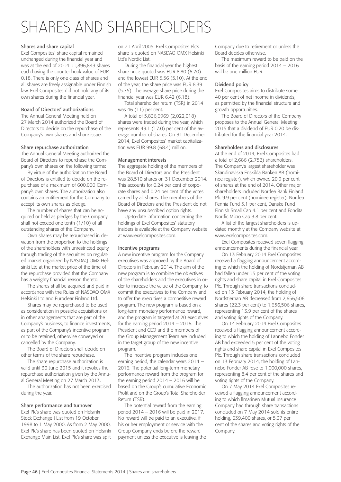## SHARES AND SHAREHOLDERS

### Shares and share capital

Exel Composites' share capital remained unchanged during the financial year and was at the end of 2014 11,896,843 shares each having the counter-book value of EUR 0.18. There is only one class of shares and all shares are freely assignable under Finnish law. Exel Composites did not hold any of its own shares during the financial year.

### Board of Directors' authorizations

The Annual General Meeting held on 27 March 2014 authorized the Board of Directors to decide on the repurchase of the Company's own shares and share issue.

#### Share repurchase authorization

The Annual General Meeting authorized the Board of Directors to repurchase the Company's own shares on the following terms:

By virtue of the authorization the Board of Directors is entitled to decide on the repurchase of a maximum of 600,000 Company's own shares. The authorization also contains an entitlement for the Company to accept its own shares as pledge.

The number of shares that can be acquired or held as pledges by the Company shall not exceed one tenth (1/10) of all outstanding shares of the Company.

Own shares may be repurchased in deviation from the proportion to the holdings of the shareholders with unrestricted equity through trading of the securities on regulated market organized by NASDAQ OMX Helsinki Ltd at the market price of the time of the repurchase provided that the Company has a weighty financial reason thereto.

The shares shall be acquired and paid in accordance with the Rules of NASDAQ OMX Helsinki Ltd and Euroclear Finland Ltd.

Shares may be repurchased to be used as consideration in possible acquisitions or in other arrangements that are part of the Company's business, to finance investments, as part of the Company's incentive program or to be retained, otherwise conveyed or cancelled by the Company.

The Board of Directors shall decide on other terms of the share repurchase.

The share repurchase authorization is valid until 30 June 2015 and it revokes the repurchase authorization given by the Annual General Meeting on 27 March 2013.

The authorization has not been exercised during the year.

### Share performance and turnover

Exel Plc's share was quoted on Helsinki Stock Exchange I List from 19 October 1998 to 1 May 2000. As from 2 May 2000, Exel Plc's share has been quoted on Helsinki Exchange Main List. Exel Plc's share was split on 21 April 2005. Exel Composites Plc's share is quoted on NASDAQ OMX Helsinki Ltd's Nordic List.

During the financial year the highest share price quoted was EUR 8.80 (6.70) and the lowest EUR 5.56 (5.10). At the end of the year, the share price was EUR 8.39 (5.75). The average share price during the financial year was EUR 6.42 (6.18).

Total shareholder return (TSR) in 2014 was 46 (11) per cent.

A total of 5,836,6969 (2,022,018) shares were traded during the year, which represents 49.1 (17.0) per cent of the average number of shares. On 31 December 2014, Exel Composites' market capitalization was EUR 99.8 (68.4) million.

### Management interests

The aggregate holding of the members of the Board of Directors and the President was 28,510 shares on 31 December 2014. This accounts for 0.24 per cent of corporate shares and 0.24 per cent of the votes carried by all shares. The members of the Board of Directors and the President do not have any unsubscribed option rights.

Up-to-date information concerning the holdings of Exel Composites' statutory insiders is available at the Company website at www.exelcomposites.com.

### Incentive programs

A new incentive program for the Company executives was approved by the Board of Directors in February 2014. The aim of the new program is to combine the objectives of the shareholders and the executives in order to increase the value of the Company, to commit the executives to the Company and to offer the executives a competitive reward program. The new program is based on a long-term monetary performance reward, and the program is targeted at 20 executives for the earning period 2014 – 2016. The President and CEO and the members of the Group Management Team are included in the target group of the new incentive program.

The incentive program includes one earning period, the calendar years 2014 − 2016. The potential long-term monetary performance reward from the program for the earning period 2014 – 2016 will be based on the Group's cumulative Economic Profit and on the Group's Total Shareholder Return (TSR).

The potential reward from the earning period 2014 – 2016 will be paid in 2017. No reward will be paid to an executive, if his or her employment or service with the Group Company ends before the reward payment unless the executive is leaving the

Company due to retirement or unless the Board decides otherwise.

The maximum reward to be paid on the basis of the earning period 2014 – 2016 will be one million EUR.

### Dividend policy

Exel Composites aims to distribute some 40 per cent of net income in dividends, as permitted by the financial structure and growth opportunities.

The Board of Directors of the Company proposes to the Annual General Meeting 2015 that a dividend of EUR 0.20 be distributed for the financial year 2014.

#### Shareholders and disclosures

At the end of 2014, Exel Composites had a total of 2,686 (2,752) shareholders. The Company's largest shareholder was Skandinaviska Enskilda Banken AB (nominee register), which owned 20.9 per cent of shares at the end of 2014. Other major shareholders included Nordea Bank Finland Plc 9.9 per cent (nominee register), Nordea Fennia Fund 5.1 per cent, Danske Fund Finnish Small Cap 4.1 per cent and Fondita Nordic Micro Cap 3.8 per cent.

A list of the largest shareholders is updated monthly at the Company website at www.exelcomposites.com.

Exel Composites received seven flagging announcements during the financial year.

On 13 February 2014 Exel Composites received a flagging announcement according to which the holding of Nordstjernan AB had fallen under 15 per cent of the voting rights and share capital in Exel Composites Plc. Through share transactions concluded on 13 February 2014, the holding of Nordstjernan AB decreased from 2,656,506 shares (22.3 per cent) to 1,656,506 shares, representing 13.9 per cent of the shares and voting rights of the Company.

On 14 February 2014 Exel Composites received a flagging announcement according to which the holding of Lannebo Fonder AB had exceeded 5 per cent of the voting rights and share capital in Exel Composites Plc. Through share transactions concluded on 13 February 2014, the holding of Lannebo Fonder AB rose to 1,000,000 shares, representing 8.4 per cent of the shares and voting rights of the Company.

On 7 May 2014 Exel Composites received a flagging announcement according to which llmarinen Mutual Insurance Company had through share transactions concluded on 7 May 2014 sold its entire holding, 639,400 shares, or 5.37 per cent of the shares and voting rights of the Company.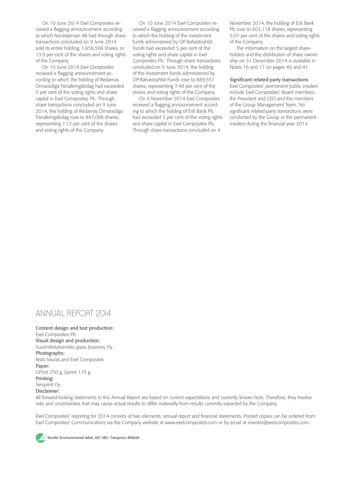On 10 June 2014 Exel Composites received a flagging announcement according to which Nordstjernan AB had through share transactions concluded on 9 June 2014 sold its entire holding, 1,656,506 shares, or 13.9 per cent of the shares and voting rights of the Company.

On 10 June 2014 Exel Composites received a flagging announcement according to which the holding of Redarnas Ömsesidiga Försäkringsbolag had exceeded 5 per cent of the voting rights and share capital in Exel Composites Plc. Through share transactions concluded on 9 June 2014, the holding of Redarnas Ömsesidiga Försäkringsbolag rose to 847,098 shares, representing 7.12 per cent of the shares and voting rights of the Company.

On 10 June 2014 Exel Composites received a flagging announcement according to which the holding of the investment funds administered by OP-Rahastoyhtiö Funds had exceeded 5 per cent of the voting rights and share capital in Exel Composites Plc. Through share transactions concluded on 9 June 2014, the holding of the investment funds administered by OP-Rahastoyhtiö Funds rose to 889,551 shares, representing 7.48 per cent of the shares and voting rights of the Company.

On 6 November 2014 Exel Composites received a flagging announcement according to which the holding of Evli Bank Plc had exceeded 5 per cent of the voting rights and share capital in Exel Composites Plc. Through share transactions concluded on 4

November 2014, the holding of Evli Bank Plc rose to 603,118 shares, representing 5.07 per cent of the shares and voting rights of the Company.

The information on the largest shareholders and the distribution of share ownership on 31 December 2014 is available in Notes 16 and 17 on pages 40 and 41.

#### Significant related-party transactions

Exel Composites' permanent public insiders include Exel Composites' Board members, the President and CEO and the members of the Group Management Team. No significant related-party transactions were conducted by the Group or the permanent insiders during the financial year 2014.

### ANNUAL REPORT 2014

Content design and text production: Exel Composites Plc Visual design and production: Suunnittelutoimisto grass business Oy Photographs: Risto Vauras and Exel Composites Paper: GPrint 250 g, Gprint 115 g Printing: Teroprint Oy Disclaimer:

All forward-looking statements in this Annual Report are based on current expectations and currently known facts. Therefore, they involve risks and uncertainties that may cause actual results to differ materially from results currently expected by the Company.

Exel Composites' reporting for 2014 consists of two elements: annual report and financial statements. Printed copies can be ordered from Exel Composites' Communications via the Company website at www.exelcomposites.com or by email at investor@exelcomposites.com.



Nordic Environmental label, 441 582 • Teroprint, Mikkeli